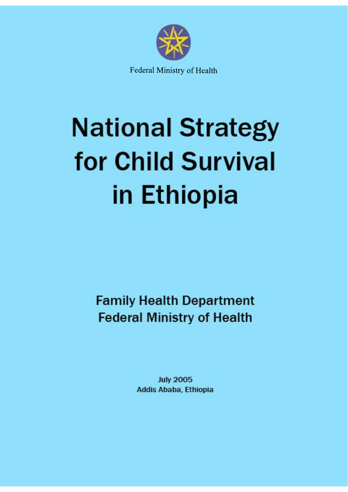

# **National Strategy** for Child Survival in Ethiopia

**Family Health Department Federal Ministry of Health** 

> **July 2005 Addis Ababa, Ethiopia**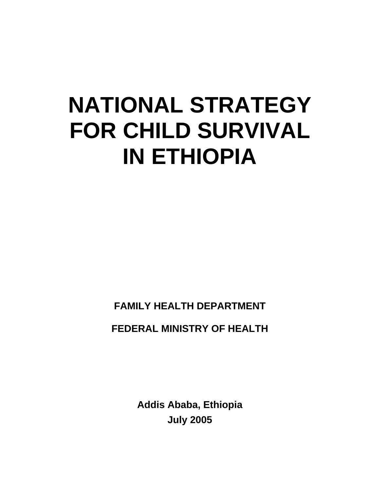# **NATIONAL STRATEGY FOR CHILD SURVIVAL IN ETHIOPIA**

**FAMILY HEALTH DEPARTMENT** 

**FEDERAL MINISTRY OF HEALTH** 

**Addis Ababa, Ethiopia July 2005**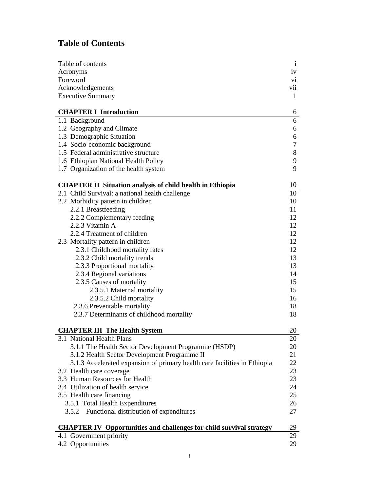# **Table of Contents**

| Table of contents                                                          | $\mathbf{i}$  |
|----------------------------------------------------------------------------|---------------|
| Acronyms                                                                   | iv            |
| Foreword                                                                   | $\mathbf{vi}$ |
| Acknowledgements                                                           | vii           |
| <b>Executive Summary</b>                                                   | 1             |
|                                                                            |               |
| <b>CHAPTER I Introduction</b>                                              | 6             |
| 1.1 Background                                                             | 6             |
| 1.2 Geography and Climate                                                  | 6             |
| 1.3 Demographic Situation                                                  | 6             |
| 1.4 Socio-economic background                                              | 7             |
| 1.5 Federal administrative structure                                       | 8             |
| 1.6 Ethiopian National Health Policy                                       | 9             |
| 1.7 Organization of the health system                                      | 9             |
|                                                                            |               |
| <b>CHAPTER II Situation analysis of child health in Ethiopia</b>           | 10            |
| 2.1 Child Survival: a national health challenge                            | 10            |
| 2.2 Morbidity pattern in children                                          | 10            |
| 2.2.1 Breastfeeding                                                        | 11            |
| 2.2.2 Complementary feeding                                                | 12            |
| 2.2.3 Vitamin A                                                            | 12            |
| 2.2.4 Treatment of children                                                | 12            |
| 2.3 Mortality pattern in children                                          | 12            |
| 2.3.1 Childhood mortality rates                                            | 12            |
| 2.3.2 Child mortality trends                                               | 13            |
| 2.3.3 Proportional mortality                                               | 13            |
| 2.3.4 Regional variations                                                  | 14            |
| 2.3.5 Causes of mortality                                                  | 15            |
| 2.3.5.1 Maternal mortality                                                 | 15            |
| 2.3.5.2 Child mortality                                                    | 16            |
| 2.3.6 Preventable mortality                                                | 18            |
| 2.3.7 Determinants of childhood mortality                                  | 18            |
|                                                                            |               |
| <b>CHAPTER III The Health System</b>                                       | 20            |
| 3.1 National Health Plans                                                  | 20            |
| 3.1.1 The Health Sector Development Programme (HSDP)                       | 20            |
| 3.1.2 Health Sector Development Programme II                               | 21            |
| 3.1.3 Accelerated expansion of primary health care facilities in Ethiopia  | 22            |
| 3.2 Health care coverage                                                   | 23            |
| 3.3 Human Resources for Health                                             | 23            |
| 3.4 Utilization of health service                                          | 24            |
| 3.5 Health care financing                                                  | 25            |
| 3.5.1 Total Health Expenditures                                            | 26            |
| 3.5.2 Functional distribution of expenditures                              | 27            |
|                                                                            |               |
| <b>CHAPTER IV Opportunities and challenges for child survival strategy</b> | 29            |
| 4.1 Government priority                                                    | 29            |
| 4.2 Opportunities                                                          | 29            |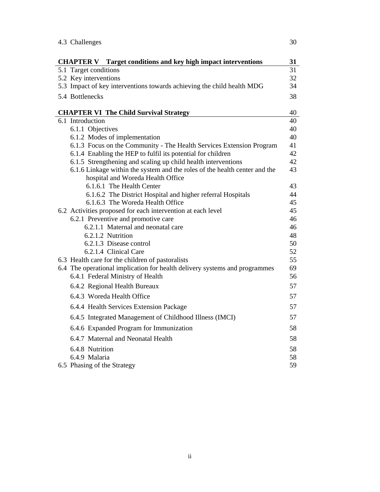| 4.3 Challenges                                                                                  | 30       |
|-------------------------------------------------------------------------------------------------|----------|
| <b>CHAPTER V</b><br>Target conditions and key high impact interventions                         | 31       |
| 5.1 Target conditions                                                                           | 31       |
| 5.2 Key interventions                                                                           | 32       |
| 5.3 Impact of key interventions towards achieving the child health MDG                          | 34       |
| 5.4 Bottlenecks                                                                                 | 38       |
| <b>CHAPTER VI The Child Survival Strategy</b>                                                   | 40       |
| 6.1 Introduction                                                                                | 40       |
| 6.1.1 Objectives                                                                                | 40       |
| 6.1.2 Modes of implementation                                                                   | 40       |
| 6.1.3 Focus on the Community - The Health Services Extension Program                            | 41       |
| 6.1.4 Enabling the HEP to fulfil its potential for children                                     | 42       |
| 6.1.5 Strengthening and scaling up child health interventions                                   | 42       |
| 6.1.6 Linkage within the system and the roles of the health center and the                      | 43       |
| hospital and Woreda Health Office                                                               |          |
| 6.1.6.1 The Health Center                                                                       | 43       |
| 6.1.6.2 The District Hospital and higher referral Hospitals<br>6.1.6.3 The Woreda Health Office | 44<br>45 |
| 6.2 Activities proposed for each intervention at each level                                     | 45       |
| 6.2.1 Preventive and promotive care                                                             | 46       |
| 6.2.1.1 Maternal and neonatal care                                                              | 46       |
| 6.2.1.2 Nutrition                                                                               | 48       |
| 6.2.1.3 Disease control                                                                         | 50       |
| 6.2.1.4 Clinical Care                                                                           | 52       |
| 6.3 Health care for the children of pastoralists                                                | 55       |
| 6.4 The operational implication for health delivery systems and programmes                      | 69       |
| 6.4.1 Federal Ministry of Health                                                                | 56       |
| 6.4.2 Regional Health Bureaux                                                                   | 57       |
| 6.4.3 Woreda Health Office                                                                      | 57       |
| 6.4.4 Health Services Extension Package                                                         | 57       |
| 6.4.5 Integrated Management of Childhood Illness (IMCI)                                         | 57       |
| 6.4.6 Expanded Program for Immunization                                                         | 58       |
| 6.4.7 Maternal and Neonatal Health                                                              | 58       |
| 6.4.8 Nutrition                                                                                 | 58       |
| 6.4.9 Malaria                                                                                   | 58       |
| 6.5 Phasing of the Strategy                                                                     | 59       |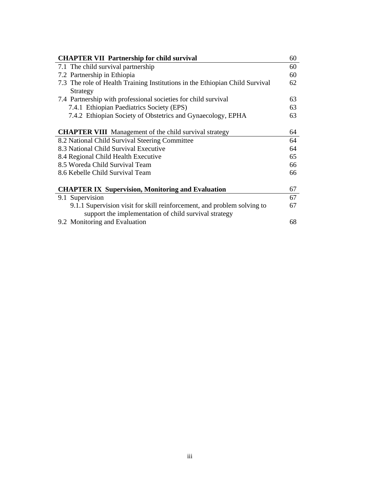| <b>CHAPTER VII Partnership for child survival</b>                            | 60 |
|------------------------------------------------------------------------------|----|
| 7.1 The child survival partnership                                           | 60 |
| 7.2 Partnership in Ethiopia                                                  | 60 |
| 7.3 The role of Health Training Institutions in the Ethiopian Child Survival | 62 |
| Strategy                                                                     |    |
| 7.4 Partnership with professional societies for child survival               | 63 |
| 7.4.1 Ethiopian Paediatrics Society (EPS)                                    | 63 |
| 7.4.2 Ethiopian Society of Obstetrics and Gynaecology, EPHA                  | 63 |
|                                                                              |    |
| <b>CHAPTER VIII</b> Management of the child survival strategy                | 64 |
| 8.2 National Child Survival Steering Committee                               | 64 |
| 8.3 National Child Survival Executive                                        | 64 |
| 8.4 Regional Child Health Executive                                          | 65 |
| 8.5 Woreda Child Survival Team                                               | 66 |
| 8.6 Kebelle Child Survival Team                                              | 66 |
|                                                                              |    |
| <b>CHAPTER IX Supervision, Monitoring and Evaluation</b>                     | 67 |
| 9.1 Supervision                                                              | 67 |
| 9.1.1 Supervision visit for skill reinforcement, and problem solving to      | 67 |
| support the implementation of child survival strategy                        |    |
| 9.2 Monitoring and Evaluation                                                | 68 |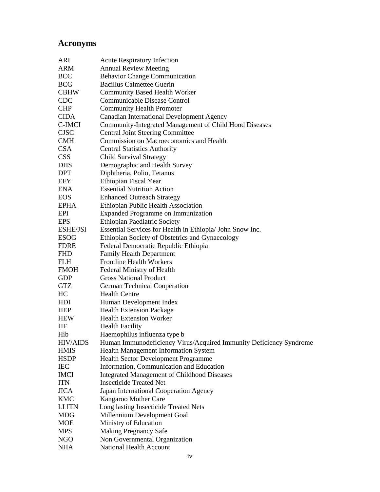# **Acronyms**

| ARI             | <b>Acute Respiratory Infection</b>                                 |
|-----------------|--------------------------------------------------------------------|
| ARM             | <b>Annual Review Meeting</b>                                       |
| <b>BCC</b>      | <b>Behavior Change Communication</b>                               |
| <b>BCG</b>      | <b>Bacillus Calmettee Guerin</b>                                   |
| <b>CBHW</b>     | <b>Community Based Health Worker</b>                               |
| <b>CDC</b>      | Communicable Disease Control                                       |
| <b>CHP</b>      | <b>Community Health Promoter</b>                                   |
| <b>CIDA</b>     | Canadian International Development Agency                          |
| C-IMCI          | Community-Integrated Management of Child Hood Diseases             |
| <b>CJSC</b>     | <b>Central Joint Steering Committee</b>                            |
| <b>CMH</b>      | Commission on Macroeconomics and Health                            |
| <b>CSA</b>      | <b>Central Statistics Authority</b>                                |
| <b>CSS</b>      | <b>Child Survival Strategy</b>                                     |
| <b>DHS</b>      | Demographic and Health Survey                                      |
| <b>DPT</b>      | Diphtheria, Polio, Tetanus                                         |
| <b>EFY</b>      | Ethiopian Fiscal Year                                              |
| ENA             | <b>Essential Nutrition Action</b>                                  |
| <b>EOS</b>      | <b>Enhanced Outreach Strategy</b>                                  |
| <b>EPHA</b>     | Ethiopian Public Health Association                                |
| EPI             | <b>Expanded Programme on Immunization</b>                          |
| <b>EPS</b>      | <b>Ethiopian Paediatric Society</b>                                |
| ESHE/JSI        | Essential Services for Health in Ethiopia/ John Snow Inc.          |
| <b>ESOG</b>     | Ethiopian Society of Obstetrics and Gynaecology                    |
| <b>FDRE</b>     | Federal Democratic Republic Ethiopia                               |
| <b>FHD</b>      | <b>Family Health Department</b>                                    |
| <b>FLH</b>      | <b>Frontline Health Workers</b>                                    |
| <b>FMOH</b>     | Federal Ministry of Health                                         |
| <b>GDP</b>      | <b>Gross National Product</b>                                      |
| <b>GTZ</b>      | <b>German Technical Cooperation</b>                                |
| HC              | <b>Health Centre</b>                                               |
| HDI             | Human Development Index                                            |
| <b>HEP</b>      | <b>Health Extension Package</b>                                    |
| <b>HEW</b>      | <b>Health Extension Worker</b>                                     |
| HF              | <b>Health Facility</b>                                             |
| Hib             | Haemophilus influenza type b                                       |
| <b>HIV/AIDS</b> | Human Immunodeficiency Virus/Acquired Immunity Deficiency Syndrome |
| <b>HMIS</b>     | Health Management Information System                               |
| <b>HSDP</b>     | Health Sector Development Programme                                |
| IEC             | Information, Communication and Education                           |
| <b>IMCI</b>     | <b>Integrated Management of Childhood Diseases</b>                 |
| <b>ITN</b>      | <b>Insecticide Treated Net</b>                                     |
| <b>JICA</b>     | Japan International Cooperation Agency                             |
| <b>KMC</b>      | Kangaroo Mother Care                                               |
| <b>LLITN</b>    | Long lasting Insecticide Treated Nets                              |
| <b>MDG</b>      | Millennium Development Goal                                        |
| <b>MOE</b>      | Ministry of Education                                              |
| <b>MPS</b>      | <b>Making Pregnancy Safe</b>                                       |
| NGO             | Non Governmental Organization                                      |
| <b>NHA</b>      | National Health Account                                            |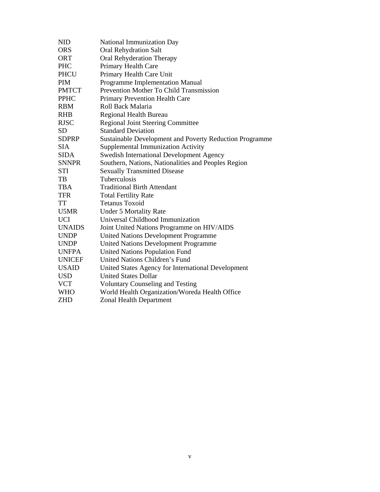| <b>NID</b>    | National Immunization Day                               |
|---------------|---------------------------------------------------------|
| <b>ORS</b>    | <b>Oral Rehydration Salt</b>                            |
| <b>ORT</b>    | Oral Rehyderation Therapy                               |
| <b>PHC</b>    | Primary Health Care                                     |
| <b>PHCU</b>   | Primary Health Care Unit                                |
| <b>PIM</b>    | Programme Implementation Manual                         |
| <b>PMTCT</b>  | Prevention Mother To Child Transmission                 |
| <b>PPHC</b>   | <b>Primary Prevention Health Care</b>                   |
| <b>RBM</b>    | Roll Back Malaria                                       |
| <b>RHB</b>    | Regional Health Bureau                                  |
| <b>RJSC</b>   | <b>Regional Joint Steering Committee</b>                |
| <b>SD</b>     | <b>Standard Deviation</b>                               |
| <b>SDPRP</b>  | Sustainable Development and Poverty Reduction Programme |
| <b>SIA</b>    | Supplemental Immunization Activity                      |
| <b>SIDA</b>   | <b>Swedish International Development Agency</b>         |
| <b>SNNPR</b>  | Southern, Nations, Nationalities and Peoples Region     |
| <b>STI</b>    | <b>Sexually Transmitted Disease</b>                     |
| TB            | Tuberculosis                                            |
| <b>TBA</b>    | <b>Traditional Birth Attendant</b>                      |
| <b>TFR</b>    | <b>Total Fertility Rate</b>                             |
| <b>TT</b>     | <b>Tetanus Toxoid</b>                                   |
| U5MR          | <b>Under 5 Mortality Rate</b>                           |
| <b>UCI</b>    | Universal Childhood Immunization                        |
| <b>UNAIDS</b> | Joint United Nations Programme on HIV/AIDS              |
| <b>UNDP</b>   | <b>United Nations Development Programme</b>             |
| <b>UNDP</b>   | <b>United Nations Development Programme</b>             |
| <b>UNFPA</b>  | <b>United Nations Population Fund</b>                   |
| <b>UNICEF</b> | United Nations Children's Fund                          |
| <b>USAID</b>  | United States Agency for International Development      |
| <b>USD</b>    | <b>United States Dollar</b>                             |
| <b>VCT</b>    | <b>Voluntary Counseling and Testing</b>                 |
| <b>WHO</b>    | World Health Organization/Woreda Health Office          |
| <b>ZHD</b>    | <b>Zonal Health Department</b>                          |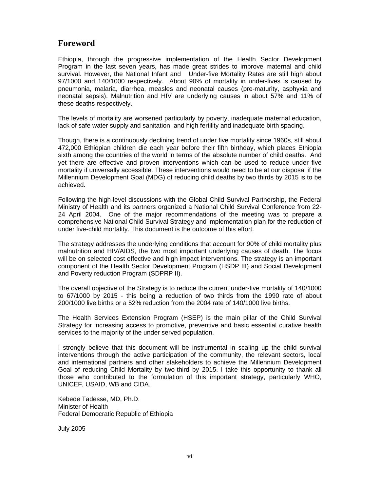# **Foreword**

Ethiopia, through the progressive implementation of the Health Sector Development Program in the last seven years, has made great strides to improve maternal and child survival. However, the National Infant and Under-five Mortality Rates are still high about 97/1000 and 140/1000 respectively. About 90% of mortality in under-fives is caused by pneumonia, malaria, diarrhea, measles and neonatal causes (pre-maturity, asphyxia and neonatal sepsis). Malnutrition and HIV are underlying causes in about 57% and 11% of these deaths respectively.

The levels of mortality are worsened particularly by poverty, inadequate maternal education, lack of safe water supply and sanitation, and high fertility and inadequate birth spacing.

Though, there is a continuously declining trend of under five mortality since 1960s, still about 472,000 Ethiopian children die each year before their fifth birthday, which places Ethiopia sixth among the countries of the world in terms of the absolute number of child deaths. And yet there are effective and proven interventions which can be used to reduce under five mortality if universally accessible. These interventions would need to be at our disposal if the Millennium Development Goal (MDG) of reducing child deaths by two thirds by 2015 is to be achieved.

Following the high-level discussions with the Global Child Survival Partnership, the Federal Ministry of Health and its partners organized a National Child Survival Conference from 22- 24 April 2004. One of the major recommendations of the meeting was to prepare a comprehensive National Child Survival Strategy and implementation plan for the reduction of under five-child mortality. This document is the outcome of this effort.

The strategy addresses the underlying conditions that account for 90% of child mortality plus malnutrition and HIV/AIDS, the two most important underlying causes of death. The focus will be on selected cost effective and high impact interventions. The strategy is an important component of the Health Sector Development Program (HSDP III) and Social Development and Poverty reduction Program (SDPRP II).

The overall objective of the Strategy is to reduce the current under-five mortality of 140/1000 to 67/1000 by 2015 - this being a reduction of two thirds from the 1990 rate of about 200/1000 live births or a 52% reduction from the 2004 rate of 140/1000 live births.

The Health Services Extension Program (HSEP) is the main pillar of the Child Survival Strategy for increasing access to promotive, preventive and basic essential curative health services to the majority of the under served population.

I strongly believe that this document will be instrumental in scaling up the child survival interventions through the active participation of the community, the relevant sectors, local and international partners and other stakeholders to achieve the Millennium Development Goal of reducing Child Mortality by two-third by 2015. I take this opportunity to thank all those who contributed to the formulation of this important strategy, particularly WHO, UNICEF, USAID, WB and CIDA.

Kebede Tadesse, MD, Ph.D. Minister of Health Federal Democratic Republic of Ethiopia

July 2005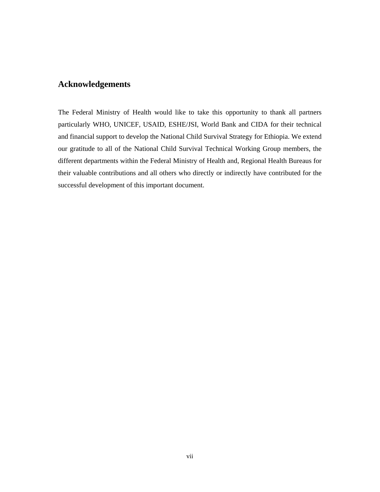# **Acknowledgements**

The Federal Ministry of Health would like to take this opportunity to thank all partners particularly WHO, UNICEF, USAID, ESHE/JSI, World Bank and CIDA for their technical and financial support to develop the National Child Survival Strategy for Ethiopia. We extend our gratitude to all of the National Child Survival Technical Working Group members, the different departments within the Federal Ministry of Health and, Regional Health Bureaus for their valuable contributions and all others who directly or indirectly have contributed for the successful development of this important document.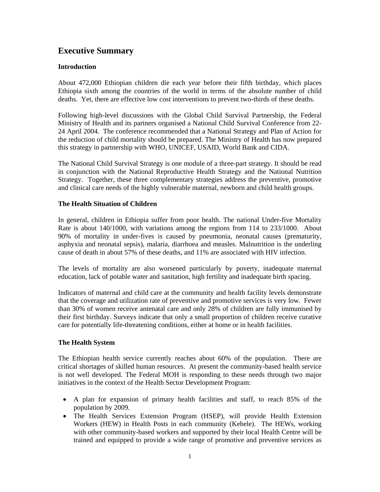# **Executive Summary**

# **Introduction**

About 472,000 Ethiopian children die each year before their fifth birthday, which places Ethiopia sixth among the countries of the world in terms of the absolute number of child deaths. Yet, there are effective low cost interventions to prevent two-thirds of these deaths.

Following high-level discussions with the Global Child Survival Partnership, the Federal Ministry of Health and its partners organised a National Child Survival Conference from 22- 24 April 2004. The conference recommended that a National Strategy and Plan of Action for the reduction of child mortality should be prepared. The Ministry of Health has now prepared this strategy in partnership with WHO, UNICEF, USAID, World Bank and CIDA.

The National Child Survival Strategy is one module of a three-part strategy. It should be read in conjunction with the National Reproductive Health Strategy and the National Nutrition Strategy. Together, these three complementary strategies address the preventive, promotive and clinical care needs of the highly vulnerable maternal, newborn and child health groups.

# **The Health Situation of Children**

In general, children in Ethiopia suffer from poor health. The national Under-five Mortality Rate is about 140/1000, with variations among the regions from 114 to 233/1000. About 90% of mortality in under-fives is caused by pneumonia, neonatal causes (prematurity, asphyxia and neonatal sepsis), malaria, diarrhoea and measles. Malnutrition is the underling cause of death in about 57% of these deaths, and 11% are associated with HIV infection.

The levels of mortality are also worsened particularly by poverty, inadequate maternal education, lack of potable water and sanitation, high fertility and inadequate birth spacing.

Indicators of maternal and child care at the community and health facility levels demonstrate that the coverage and utilization rate of preventive and promotive services is very low. Fewer than 30% of women receive antenatal care and only 28% of children are fully immunised by their first birthday. Surveys indicate that only a small proportion of children receive curative care for potentially life-threatening conditions, either at home or in health facilities.

# **The Health System**

The Ethiopian health service currently reaches about 60% of the population. There are critical shortages of skilled human resources. At present the community-based health service is not well developed. The Federal MOH is responding to these needs through two major initiatives in the context of the Health Sector Development Program:

- A plan for expansion of primary health facilities and staff, to reach 85% of the population by 2009.
- The Health Services Extension Program (HSEP), will provide Health Extension Workers (HEW) in Health Posts in each community (Kebele). The HEWs, working with other community-based workers and supported by their local Health Centre will be trained and equipped to provide a wide range of promotive and preventive services as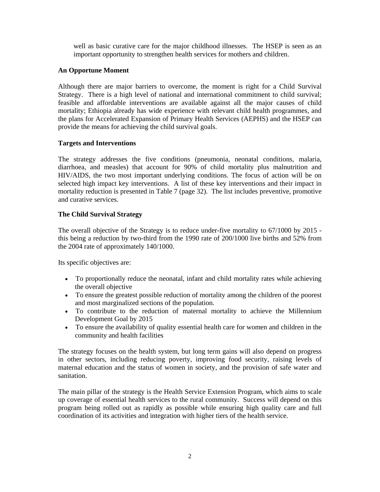well as basic curative care for the major childhood illnesses. The HSEP is seen as an important opportunity to strengthen health services for mothers and children.

# **An Opportune Moment**

Although there are major barriers to overcome, the moment is right for a Child Survival Strategy. There is a high level of national and international commitment to child survival; feasible and affordable interventions are available against all the major causes of child mortality; Ethiopia already has wide experience with relevant child health programmes, and the plans for Accelerated Expansion of Primary Health Services (AEPHS) and the HSEP can provide the means for achieving the child survival goals.

# **Targets and Interventions**

The strategy addresses the five conditions (pneumonia, neonatal conditions, malaria, diarrhoea, and measles) that account for 90% of child mortality plus malnutrition and HIV/AIDS, the two most important underlying conditions. The focus of action will be on selected high impact key interventions. A list of these key interventions and their impact in mortality reduction is presented in Table 7 (page 32). The list includes preventive, promotive and curative services.

# **The Child Survival Strategy**

The overall objective of the Strategy is to reduce under-five mortality to 67/1000 by 2015 this being a reduction by two-third from the 1990 rate of 200/1000 live births and 52% from the 2004 rate of approximately 140/1000.

Its specific objectives are:

- To proportionally reduce the neonatal, infant and child mortality rates while achieving the overall objective
- To ensure the greatest possible reduction of mortality among the children of the poorest and most marginalized sections of the population.
- To contribute to the reduction of maternal mortality to achieve the Millennium Development Goal by 2015
- To ensure the availability of quality essential health care for women and children in the community and health facilities

The strategy focuses on the health system, but long term gains will also depend on progress in other sectors, including reducing poverty, improving food security, raising levels of maternal education and the status of women in society, and the provision of safe water and sanitation.

The main pillar of the strategy is the Health Service Extension Program, which aims to scale up coverage of essential health services to the rural community. Success will depend on this program being rolled out as rapidly as possible while ensuring high quality care and full coordination of its activities and integration with higher tiers of the health service.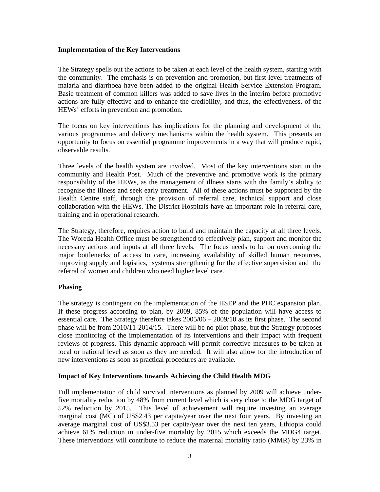# **Implementation of the Key Interventions**

The Strategy spells out the actions to be taken at each level of the health system, starting with the community. The emphasis is on prevention and promotion, but first level treatments of malaria and diarrhoea have been added to the original Health Service Extension Program. Basic treatment of common killers was added to save lives in the interim before promotive actions are fully effective and to enhance the credibility, and thus, the effectiveness, of the HEWs' efforts in prevention and promotion.

The focus on key interventions has implications for the planning and development of the various programmes and delivery mechanisms within the health system. This presents an opportunity to focus on essential programme improvements in a way that will produce rapid, observable results.

Three levels of the health system are involved. Most of the key interventions start in the community and Health Post. Much of the preventive and promotive work is the primary responsibility of the HEWs, as the management of illness starts with the family's ability to recognise the illness and seek early treatment. All of these actions must be supported by the Health Centre staff, through the provision of referral care, technical support and close collaboration with the HEWs. The District Hospitals have an important role in referral care, training and in operational research.

The Strategy, therefore, requires action to build and maintain the capacity at all three levels. The Woreda Health Office must be strengthened to effectively plan, support and monitor the necessary actions and inputs at all three levels. The focus needs to be on overcoming the major bottlenecks of access to care, increasing availability of skilled human resources, improving supply and logistics, systems strengthening for the effective supervision and the referral of women and children who need higher level care.

# **Phasing**

The strategy is contingent on the implementation of the HSEP and the PHC expansion plan. If these progress according to plan, by 2009, 85% of the population will have access to essential care. The Strategy therefore takes 2005/06 – 2009/10 as its first phase. The second phase will be from 2010/11-2014/15. There will be no pilot phase, but the Strategy proposes close monitoring of the implementation of its interventions and their impact with frequent reviews of progress. This dynamic approach will permit corrective measures to be taken at local or national level as soon as they are needed. It will also allow for the introduction of new interventions as soon as practical procedures are available.

# **Impact of Key Interventions towards Achieving the Child Health MDG**

Full implementation of child survival interventions as planned by 2009 will achieve underfive mortality reduction by 48% from current level which is very close to the MDG target of 52% reduction by 2015. This level of achievement will require investing an average marginal cost (MC) of US\$2.43 per capita/year over the next four years. By investing an average marginal cost of US\$3.53 per capita/year over the next ten years, Ethiopia could achieve 61% reduction in under-five mortality by 2015 which exceeds the MDG4 target. These interventions will contribute to reduce the maternal mortality ratio (MMR) by 23% in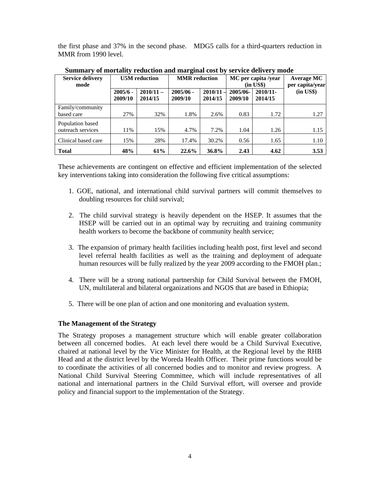the first phase and 37% in the second phase. MDG5 calls for a third-quarters reduction in MMR from 1990 level.

| <b>Service delivery</b><br>mode       |                       | <b>U5M</b> reduction   | <b>MMR</b> reduction   |                        | MC per capita /year<br>$(in \; US\$ |                     | Average MC<br>per capita/year |
|---------------------------------------|-----------------------|------------------------|------------------------|------------------------|-------------------------------------|---------------------|-------------------------------|
|                                       | $2005/6 -$<br>2009/10 | $2010/11 -$<br>2014/15 | $2005/06 -$<br>2009/10 | $2010/11 -$<br>2014/15 | 2005/06-<br>2009/10                 | 2010/11-<br>2014/15 | $(in \text{ US}\$)$           |
| Family/community<br>based care        | 27%                   | 32%                    | 1.8%                   | 2.6%                   | 0.83                                | 1.72                | 1.27                          |
| Population based<br>outreach services | 11%                   | 15%                    | 4.7%                   | 7.2%                   | 1.04                                | 1.26                | 1.15                          |
| Clinical based care                   | 15%                   | 28%                    | 17.4%                  | 30.2%                  | 0.56                                | 1.65                | 1.10                          |
| <b>Total</b>                          | 48%                   | 61%                    | 22.6%                  | 36.8%                  | 2.43                                | 4.62                | 3.53                          |

**Summary of mortality reduction and marginal cost by service delivery mode** 

These achievements are contingent on effective and efficient implementation of the selected key interventions taking into consideration the following five critical assumptions:

- 1. GOE, national, and international child survival partners will commit themselves to doubling resources for child survival;
- 2. The child survival strategy is heavily dependent on the HSEP. It assumes that the HSEP will be carried out in an optimal way by recruiting and training community health workers to become the backbone of community health service;
- 3. The expansion of primary health facilities including health post, first level and second level referral health facilities as well as the training and deployment of adequate human resources will be fully realized by the year 2009 according to the FMOH plan.;
- 4. There will be a strong national partnership for Child Survival between the FMOH, UN, multilateral and bilateral organizations and NGOS that are based in Ethiopia;
- 5. There will be one plan of action and one monitoring and evaluation system.

# **The Management of the Strategy**

The Strategy proposes a management structure which will enable greater collaboration between all concerned bodies. At each level there would be a Child Survival Executive, chaired at national level by the Vice Minister for Health, at the Regional level by the RHB Head and at the district level by the Woreda Health Officer. Their prime functions would be to coordinate the activities of all concerned bodies and to monitor and review progress. A National Child Survival Steering Committee, which will include representatives of all national and international partners in the Child Survival effort, will oversee and provide policy and financial support to the implementation of the Strategy.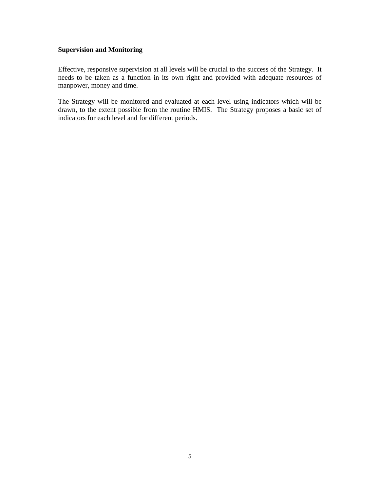# **Supervision and Monitoring**

Effective, responsive supervision at all levels will be crucial to the success of the Strategy. It needs to be taken as a function in its own right and provided with adequate resources of manpower, money and time.

The Strategy will be monitored and evaluated at each level using indicators which will be drawn, to the extent possible from the routine HMIS. The Strategy proposes a basic set of indicators for each level and for different periods.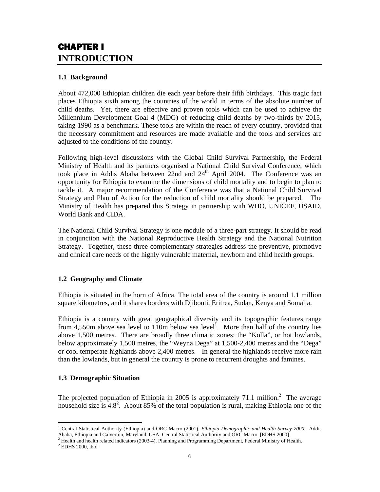# CHAPTER I **INTRODUCTION**

# **1.1 Background**

About 472,000 Ethiopian children die each year before their fifth birthdays. This tragic fact places Ethiopia sixth among the countries of the world in terms of the absolute number of child deaths. Yet, there are effective and proven tools which can be used to achieve the Millennium Development Goal 4 (MDG) of reducing child deaths by two-thirds by 2015, taking 1990 as a benchmark. These tools are within the reach of every country, provided that the necessary commitment and resources are made available and the tools and services are adjusted to the conditions of the country.

Following high-level discussions with the Global Child Survival Partnership, the Federal Ministry of Health and its partners organised a National Child Survival Conference, which took place in Addis Ababa between  $22$ nd and  $24<sup>th</sup>$  April 2004. The Conference was an opportunity for Ethiopia to examine the dimensions of child mortality and to begin to plan to tackle it. A major recommendation of the Conference was that a National Child Survival Strategy and Plan of Action for the reduction of child mortality should be prepared. The Ministry of Health has prepared this Strategy in partnership with WHO, UNICEF, USAID, World Bank and CIDA.

The National Child Survival Strategy is one module of a three-part strategy. It should be read in conjunction with the National Reproductive Health Strategy and the National Nutrition Strategy. Together, these three complementary strategies address the preventive, promotive and clinical care needs of the highly vulnerable maternal, newborn and child health groups.

# **1.2 Geography and Climate**

Ethiopia is situated in the horn of Africa. The total area of the country is around 1.1 million square kilometres, and it shares borders with Djibouti, Eritrea, Sudan, Kenya and Somalia.

Ethiopia is a country with great geographical diversity and its topographic features range from  $4,550$ m above sea level to 110m below sea level<sup>1</sup>. More than half of the country lies above 1,500 metres. There are broadly three climatic zones: the "Kolla", or hot lowlands, below approximately 1,500 metres, the "Weyna Dega" at 1,500-2,400 metres and the "Dega" or cool temperate highlands above 2,400 metres. In general the highlands receive more rain than the lowlands, but in general the country is prone to recurrent droughts and famines.

# **1.3 Demographic Situation**

The projected population of Ethiopia in 2005 is approximately 71.1 million.<sup>2</sup> The average household size is  $4.8^2$ . About 85% of the total population is rural, making Ethiopia one of the

 $\overline{a}$ <sup>1</sup> Central Statistical Authority (Ethiopia) and ORC Macro (2001). *Ethiopia Demographic and Health Survey 2000*. Addis Ababa, Ethiopia and Calverton, Maryland, USA: Central Statistical Authority and ORC Macro. [EDHS 2000]

<sup>&</sup>lt;sup>2</sup> Health and health related indicators (2003-4). Planning and Programming Department, Federal Ministry of Health. <sup>2</sup> EDMS 2000, ikid

 $2$  EDHS 2000, ibid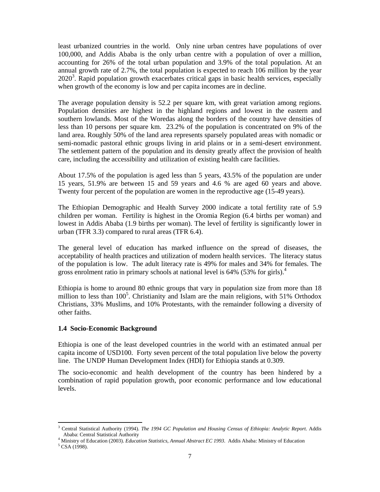least urbanized countries in the world. Only nine urban centres have populations of over 100,000, and Addis Ababa is the only urban centre with a population of over a million, accounting for 26% of the total urban population and 3.9% of the total population. At an annual growth rate of 2.7%, the total population is expected to reach 106 million by the year  $2020<sup>3</sup>$ . Rapid population growth exacerbates critical gaps in basic health services, especially when growth of the economy is low and per capita incomes are in decline.

The average population density is 52.2 per square km, with great variation among regions. Population densities are highest in the highland regions and lowest in the eastern and southern lowlands. Most of the Woredas along the borders of the country have densities of less than 10 persons per square km. 23.2% of the population is concentrated on 9% of the land area. Roughly 50% of the land area represents sparsely populated areas with nomadic or semi-nomadic pastoral ethnic groups living in arid plains or in a semi-desert environment. The settlement pattern of the population and its density greatly affect the provision of health care, including the accessibility and utilization of existing health care facilities.

About 17.5% of the population is aged less than 5 years, 43.5% of the population are under 15 years, 51.9% are between 15 and 59 years and 4.6 % are aged 60 years and above. Twenty four percent of the population are women in the reproductive age (15-49 years).

The Ethiopian Demographic and Health Survey 2000 indicate a total fertility rate of 5.9 children per woman. Fertility is highest in the Oromia Region (6.4 births per woman) and lowest in Addis Ababa (1.9 births per woman). The level of fertility is significantly lower in urban (TFR 3.3) compared to rural areas (TFR 6.4).

The general level of education has marked influence on the spread of diseases, the acceptability of health practices and utilization of modern health services. The literacy status of the population is low. The adult literacy rate is 49% for males and 34% for females. The gross enrolment ratio in primary schools at national level is 64% (53% for girls).<sup>4</sup>

Ethiopia is home to around 80 ethnic groups that vary in population size from more than 18 million to less than 100<sup>5</sup>. Christianity and Islam are the main religions, with 51% Orthodox Christians, 33% Muslims, and 10% Protestants, with the remainder following a diversity of other faiths.

#### **1.4 Socio-Economic Background**

Ethiopia is one of the least developed countries in the world with an estimated annual per capita income of USD100. Forty seven percent of the total population live below the poverty line. The UNDP Human Development Index (HDI) for Ethiopia stands at 0.309.

The socio-economic and health development of the country has been hindered by a combination of rapid population growth, poor economic performance and low educational levels.

 $\overline{a}$ 

<sup>3</sup> Central Statistical Authority (1994). *The 1994 GC Population and Housing Census of Ethiopia: Analytic Report*. Addis Ababa: Central Statistical Authority 4

<sup>&</sup>lt;sup>4</sup> Ministry of Education (2003). *Education Statistics, Annual Abstract EC 1993*. Addis Ababa: Ministry of Education

 $5$  CSA (1998).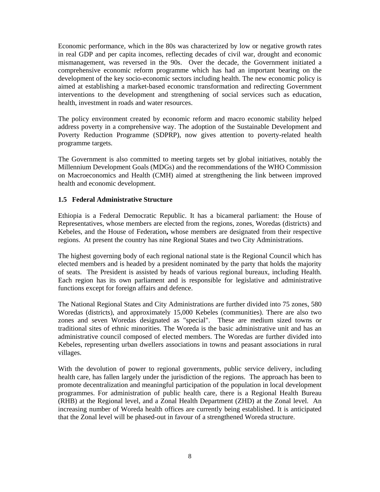Economic performance, which in the 80s was characterized by low or negative growth rates in real GDP and per capita incomes, reflecting decades of civil war, drought and economic mismanagement, was reversed in the 90s. Over the decade, the Government initiated a comprehensive economic reform programme which has had an important bearing on the development of the key socio-economic sectors including health. The new economic policy is aimed at establishing a market-based economic transformation and redirecting Government interventions to the development and strengthening of social services such as education, health, investment in roads and water resources.

The policy environment created by economic reform and macro economic stability helped address poverty in a comprehensive way. The adoption of the Sustainable Development and Poverty Reduction Programme (SDPRP), now gives attention to poverty-related health programme targets.

The Government is also committed to meeting targets set by global initiatives, notably the Millennium Development Goals (MDGs) and the recommendations of the WHO Commission on Macroeconomics and Health (CMH) aimed at strengthening the link between improved health and economic development.

# **1.5 Federal Administrative Structure**

Ethiopia is a Federal Democratic Republic. It has a bicameral parliament: the House of Representatives, whose members are elected from the regions, zones, Woredas (districts) and Kebeles, and the House of Federation**,** whose members are designated from their respective regions. At present the country has nine Regional States and two City Administrations.

The highest governing body of each regional national state is the Regional Council which has elected members and is headed by a president nominated by the party that holds the majority of seats. The President is assisted by heads of various regional bureaux, including Health. Each region has its own parliament and is responsible for legislative and administrative functions except for foreign affairs and defence.

The National Regional States and City Administrations are further divided into 75 zones, 580 Woredas (districts), and approximately 15,000 Kebeles (communities). There are also two zones and seven Woredas designated as "special". These are medium sized towns or traditional sites of ethnic minorities. The Woreda is the basic administrative unit and has an administrative council composed of elected members. The Woredas are further divided into Kebeles, representing urban dwellers associations in towns and peasant associations in rural villages.

With the devolution of power to regional governments, public service delivery, including health care, has fallen largely under the jurisdiction of the regions. The approach has been to promote decentralization and meaningful participation of the population in local development programmes. For administration of public health care, there is a Regional Health Bureau (RHB) at the Regional level, and a Zonal Health Department (ZHD) at the Zonal level. An increasing number of Woreda health offices are currently being established. It is anticipated that the Zonal level will be phased-out in favour of a strengthened Woreda structure.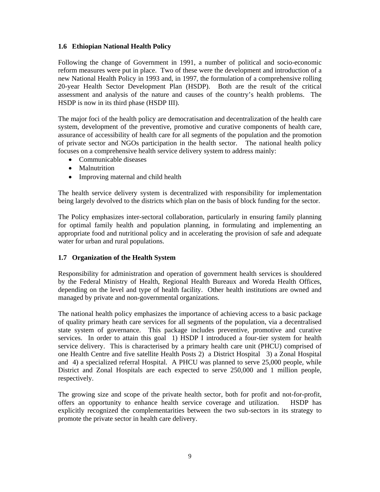# **1.6 Ethiopian National Health Policy**

Following the change of Government in 1991, a number of political and socio-economic reform measures were put in place. Two of these were the development and introduction of a new National Health Policy in 1993 and, in 1997, the formulation of a comprehensive rolling 20-year Health Sector Development Plan (HSDP). Both are the result of the critical assessment and analysis of the nature and causes of the country's health problems. The HSDP is now in its third phase (HSDP III).

The major foci of the health policy are democratisation and decentralization of the health care system, development of the preventive, promotive and curative components of health care, assurance of accessibility of health care for all segments of the population and the promotion of private sector and NGOs participation in the health sector. The national health policy focuses on a comprehensive health service delivery system to address mainly:

- Communicable diseases
- Malnutrition
- Improving maternal and child health

The health service delivery system is decentralized with responsibility for implementation being largely devolved to the districts which plan on the basis of block funding for the sector.

The Policy emphasizes inter-sectoral collaboration, particularly in ensuring family planning for optimal family health and population planning, in formulating and implementing an appropriate food and nutritional policy and in accelerating the provision of safe and adequate water for urban and rural populations.

# **1.7 Organization of the Health System**

Responsibility for administration and operation of government health services is shouldered by the Federal Ministry of Health, Regional Health Bureaux and Woreda Health Offices, depending on the level and type of health facility. Other health institutions are owned and managed by private and non-governmental organizations.

The national health policy emphasizes the importance of achieving access to a basic package of quality primary heath care services for all segments of the population, via a decentralised state system of governance. This package includes preventive, promotive and curative services. In order to attain this goal 1) HSDP I introduced a four-tier system for health service delivery. This is characterised by a primary health care unit (PHCU) comprised of one Health Centre and five satellite Health Posts 2) a District Hospital 3) a Zonal Hospital and 4) a specialized referral Hospital. A PHCU was planned to serve 25,000 people, while District and Zonal Hospitals are each expected to serve 250,000 and 1 million people, respectively.

The growing size and scope of the private health sector, both for profit and not-for-profit, offers an opportunity to enhance health service coverage and utilization. HSDP has explicitly recognized the complementarities between the two sub-sectors in its strategy to promote the private sector in health care delivery.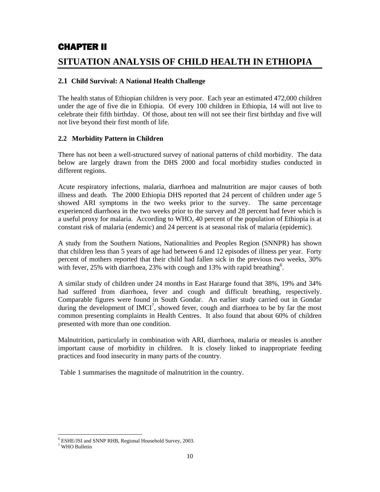# CHAPTER II

# **SITUATION ANALYSIS OF CHILD HEALTH IN ETHIOPIA**

# **2.1 Child Survival: A National Health Challenge**

The health status of Ethiopian children is very poor. Each year an estimated 472,000 children under the age of five die in Ethiopia. Of every 100 children in Ethiopia, 14 will not live to celebrate their fifth birthday. Of those, about ten will not see their first birthday and five will not live beyond their first month of life.

# **2.2 Morbidity Pattern in Children**

There has not been a well-structured survey of national patterns of child morbidity. The data below are largely drawn from the DHS 2000 and focal morbidity studies conducted in different regions.

Acute respiratory infections, malaria, diarrhoea and malnutrition are major causes of both illness and death. The 2000 Ethiopia DHS reported that 24 percent of children under age 5 showed ARI symptoms in the two weeks prior to the survey. The same percentage experienced diarrhoea in the two weeks prior to the survey and 28 percent had fever which is a useful proxy for malaria. According to WHO, 40 percent of the population of Ethiopia is at constant risk of malaria (endemic) and 24 percent is at seasonal risk of malaria (epidemic).

A study from the Southern Nations, Nationalities and Peoples Region (SNNPR) has shown that children less than 5 years of age had between 6 and 12 episodes of illness per year. Forty percent of mothers reported that their child had fallen sick in the previous two weeks, 30% with fever, 25% with diarrhoea, 23% with cough and 13% with rapid breathing<sup>6</sup>.

A similar study of children under 24 months in East Hararge found that 38%, 19% and 34% had suffered from diarrhoea, fever and cough and difficult breathing, respectively. Comparable figures were found in South Gondar. An earlier study carried out in Gondar during the development of  $IMCI<sup>7</sup>$ , showed fever, cough and diarrhoea to be by far the most common presenting complaints in Health Centres. It also found that about 60% of children presented with more than one condition.

Malnutrition, particularly in combination with ARI, diarrhoea, malaria or measles is another important cause of morbidity in children. It is closely linked to inappropriate feeding practices and food insecurity in many parts of the country.

Table 1 summarises the magnitude of malnutrition in the country.

 $\overline{a}$ 6 ESHE/JSI and SNNP RHB, Regional Household Survey, 2003.

<sup>7</sup> WHO Bulletin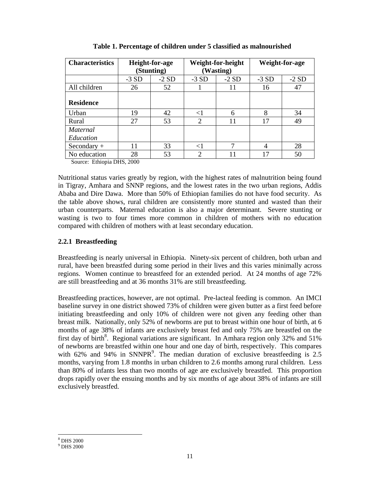| <b>Characteristics</b> | <b>Height-for-age</b> |        | Weight-for-height |        | Weight-for-age |        |
|------------------------|-----------------------|--------|-------------------|--------|----------------|--------|
|                        | (Stunting)            |        | (Wasting)         |        |                |        |
|                        | $-3SD$                | $-2SD$ | $-3SD$            | $-2SD$ | $-3SD$         | $-2SD$ |
| All children           | 26                    | 52     |                   | 11     | 16             | 47     |
|                        |                       |        |                   |        |                |        |
| <b>Residence</b>       |                       |        |                   |        |                |        |
| Urban                  | 19                    | 42     | $<$ 1             | 6      | 8              | 34     |
| Rural                  | 27                    | 53     | $\overline{2}$    | 11     | 17             | 49     |
| <i>Maternal</i>        |                       |        |                   |        |                |        |
| Education              |                       |        |                   |        |                |        |
| $Secondary +$          | 11                    | 33     | $<$ 1             | 7      | $\overline{4}$ | 28     |
| No education           | 28                    | 53     | $\overline{2}$    | 11     | 17             | 50     |

 **Table 1. Percentage of children under 5 classified as malnourished** 

Source: Ethiopia DHS, 2000

Nutritional status varies greatly by region, with the highest rates of malnutrition being found in Tigray, Amhara and SNNP regions, and the lowest rates in the two urban regions, Addis Ababa and Dire Dawa. More than 50% of Ethiopian families do not have food security. As the table above shows, rural children are consistently more stunted and wasted than their urban counterparts. Maternal education is also a major determinant. Severe stunting or wasting is two to four times more common in children of mothers with no education compared with children of mothers with at least secondary education.

# **2.2.1 Breastfeeding**

Breastfeeding is nearly universal in Ethiopia. Ninety-six percent of children, both urban and rural, have been breastfed during some period in their lives and this varies minimally across regions. Women continue to breastfeed for an extended period. At 24 months of age 72% are still breastfeeding and at 36 months 31% are still breastfeeding.

Breastfeeding practices, however, are not optimal. Pre-lacteal feeding is common. An IMCI baseline survey in one district showed 73% of children were given butter as a first feed before initiating breastfeeding and only 10% of children were not given any feeding other than breast milk. Nationally, only 52% of newborns are put to breast within one hour of birth, at 6 months of age 38% of infants are exclusively breast fed and only 75% are breastfed on the first day of birth<sup>8</sup>. Regional variations are significant. In Amhara region only 32% and 51% of newborns are breastfed within one hour and one day of birth, respectively. This compares with  $62\%$  and  $94\%$  in SNNPR<sup>9</sup>. The median duration of exclusive breastfeeding is 2.5 months, varying from 1.8 months in urban children to 2.6 months among rural children. Less than 80% of infants less than two months of age are exclusively breastfed. This proportion drops rapidly over the ensuing months and by six months of age about 38% of infants are still exclusively breastfed.

 $\overline{a}$ 8 DHS 2000

<sup>9</sup> DHS 2000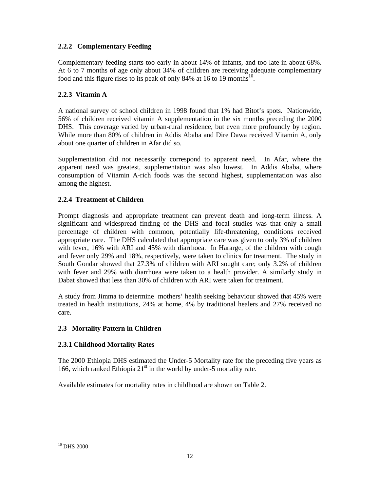# **2.2.2 Complementary Feeding**

Complementary feeding starts too early in about 14% of infants, and too late in about 68%. At 6 to 7 months of age only about 34% of children are receiving adequate complementary food and this figure rises to its peak of only 84% at 16 to 19 months<sup>10</sup>.

# **2.2.3 Vitamin A**

A national survey of school children in 1998 found that 1% had Bitot's spots. Nationwide, 56% of children received vitamin A supplementation in the six months preceding the 2000 DHS. This coverage varied by urban-rural residence, but even more profoundly by region. While more than 80% of children in Addis Ababa and Dire Dawa received Vitamin A, only about one quarter of children in Afar did so.

Supplementation did not necessarily correspond to apparent need. In Afar, where the apparent need was greatest, supplementation was also lowest. In Addis Ababa, where consumption of Vitamin A-rich foods was the second highest, supplementation was also among the highest.

# **2.2.4 Treatment of Children**

Prompt diagnosis and appropriate treatment can prevent death and long-term illness. A significant and widespread finding of the DHS and focal studies was that only a small percentage of children with common, potentially life-threatening, conditions received appropriate care. The DHS calculated that appropriate care was given to only 3% of children with fever, 16% with ARI and 45% with diarrhoea. In Hararge, of the children with cough and fever only 29% and 18%, respectively, were taken to clinics for treatment. The study in South Gondar showed that 27.3% of children with ARI sought care; only 3.2% of children with fever and 29% with diarrhoea were taken to a health provider. A similarly study in Dabat showed that less than 30% of children with ARI were taken for treatment.

A study from Jimma to determine mothers' health seeking behaviour showed that 45% were treated in health institutions, 24% at home, 4% by traditional healers and 27% received no care.

# **2.3 Mortality Pattern in Children**

# **2.3.1 Childhood Mortality Rates**

The 2000 Ethiopia DHS estimated the Under-5 Mortality rate for the preceding five years as 166, which ranked Ethiopia  $21<sup>st</sup>$  in the world by under-5 mortality rate.

Available estimates for mortality rates in childhood are shown on Table 2.

 $\overline{a}$  $10$  DHS 2000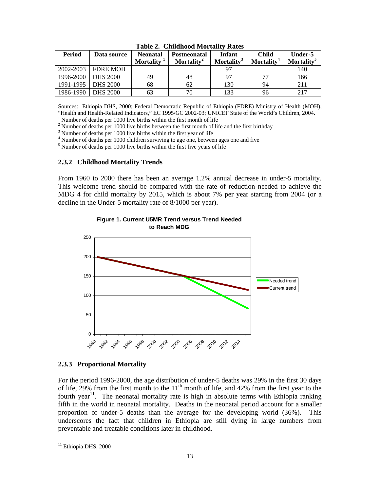| Period    | Data source     | <b>Neonatal</b><br>Mortality <sup>1</sup> | <b>Postneonatal</b><br>Mortality <sup>2</sup> | Infant<br>Mortality <sup>3</sup> | <b>Child</b><br>Mortality <sup>4</sup> | Under-5<br><b>Mortality</b> <sup>5</sup> |
|-----------|-----------------|-------------------------------------------|-----------------------------------------------|----------------------------------|----------------------------------------|------------------------------------------|
| 2002-2003 | <b>FDRE MOH</b> |                                           |                                               |                                  |                                        | 140                                      |
| 1996-2000 | <b>DHS 2000</b> | 49                                        | 48                                            | 97                               |                                        | 166                                      |
| 1991-1995 | <b>DHS 2000</b> | 68                                        | 62                                            | 130                              | 94                                     | 211                                      |
| 1986-1990 | <b>DHS 2000</b> | 63                                        | 70                                            | 133                              | 96                                     | 217                                      |

**Table 2. Childhood Mortality Rates** 

Sources: Ethiopia DHS, 2000; Federal Democratic Republic of Ethiopia (FDRE) Ministry of Health (MOH), "Health and Health-Related Indicators," EC 1995/GC 2002-03; UNICEF State of the World's Children, 2004.

 $1$  Number of deaths per 1000 live births within the first month of life

<sup>2</sup> Number of deaths per 1000 live births between the first month of life and the first birthday

<sup>3</sup> Number of deaths per 1000 live births within the first year of life

<sup>4</sup> Number of deaths per 1000 children surviving to age one, between ages one and five

<sup>5</sup> Number of deaths per 1000 live births within the first five years of life

#### **2.3.2 Childhood Mortality Trends**

From 1960 to 2000 there has been an average 1.2% annual decrease in under-5 mortality. This welcome trend should be compared with the rate of reduction needed to achieve the MDG 4 for child mortality by 2015, which is about 7% per year starting from 2004 (or a decline in the Under-5 mortality rate of 8/1000 per year).



**Figure 1. Current U5MR Trend versus Trend Needed to Reach MDG**

#### **2.3.3 Proportional Mortality**

For the period 1996-2000, the age distribution of under-5 deaths was 29% in the first 30 days of life,  $29\%$  from the first month to the  $11<sup>th</sup>$  month of life, and 42% from the first year to the fourth year<sup>11</sup>. The neonatal mortality rate is high in absolute terms with Ethiopia ranking fifth in the world in neonatal mortality. Deaths in the neonatal period account for a smaller proportion of under-5 deaths than the average for the developing world (36%). This underscores the fact that children in Ethiopia are still dying in large numbers from preventable and treatable conditions later in childhood.

 $\overline{a}$ 

<sup>&</sup>lt;sup>11</sup> Ethiopia DHS, 2000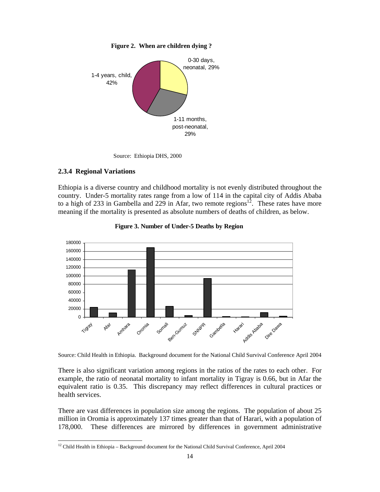

 **Figure 2. When are children dying ?** 



### **2.3.4 Regional Variations**

 $\overline{a}$ 

Ethiopia is a diverse country and childhood mortality is not evenly distributed throughout the country. Under-5 mortality rates range from a low of 114 in the capital city of Addis Ababa to a high of 233 in Gambella and 229 in Afar, two remote regions<sup>12</sup>. These rates have more meaning if the mortality is presented as absolute numbers of deaths of children, as below.



**Figure 3. Number of Under-5 Deaths by Region**

Source: Child Health in Ethiopia. Background document for the National Child Survival Conference April 2004

There is also significant variation among regions in the ratios of the rates to each other. For example, the ratio of neonatal mortality to infant mortality in Tigray is 0.66, but in Afar the equivalent ratio is 0.35. This discrepancy may reflect differences in cultural practices or health services.

There are vast differences in population size among the regions. The population of about 25 million in Oromia is approximately 137 times greater than that of Harari, with a population of 178,000. These differences are mirrored by differences in government administrative

 $12$  Child Health in Ethiopia – Background document for the National Child Survival Conference, April 2004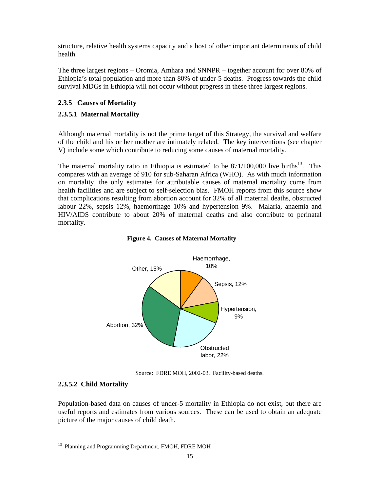structure, relative health systems capacity and a host of other important determinants of child health.

The three largest regions – Oromia, Amhara and SNNPR – together account for over 80% of Ethiopia's total population and more than 80% of under-5 deaths. Progress towards the child survival MDGs in Ethiopia will not occur without progress in these three largest regions.

# **2.3.5 Causes of Mortality**

# **2.3.5.1 Maternal Mortality**

Although maternal mortality is not the prime target of this Strategy, the survival and welfare of the child and his or her mother are intimately related. The key interventions (see chapter V) include some which contribute to reducing some causes of maternal mortality.

The maternal mortality ratio in Ethiopia is estimated to be  $871/100,000$  live births<sup>13</sup>. This compares with an average of 910 for sub-Saharan Africa (WHO). As with much information on mortality, the only estimates for attributable causes of maternal mortality come from health facilities and are subject to self-selection bias. FMOH reports from this source show that complications resulting from abortion account for 32% of all maternal deaths, obstructed labour 22%, sepsis 12%, haemorrhage 10% and hypertension 9%. Malaria, anaemia and HIV/AIDS contribute to about 20% of maternal deaths and also contribute to perinatal mortality.





Source: FDRE MOH, 2002-03. Facility-based deaths.

# **2.3.5.2 Child Mortality**

Population-based data on causes of under-5 mortality in Ethiopia do not exist, but there are useful reports and estimates from various sources. These can be used to obtain an adequate picture of the major causes of child death.

<sup>13</sup> 13 Planning and Programming Department, FMOH, FDRE MOH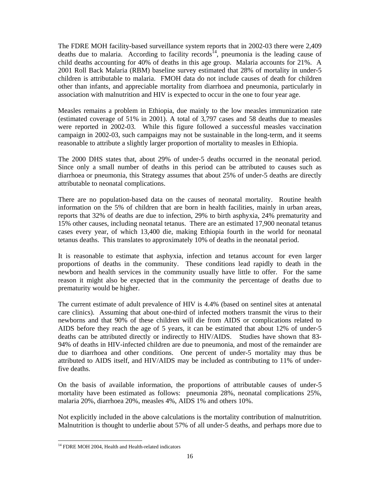The FDRE MOH facility-based surveillance system reports that in 2002-03 there were 2,409 deaths due to malaria. According to facility records<sup>14</sup>, pneumonia is the leading cause of child deaths accounting for 40% of deaths in this age group. Malaria accounts for 21%. A 2001 Roll Back Malaria (RBM) baseline survey estimated that 28% of mortality in under-5 children is attributable to malaria. FMOH data do not include causes of death for children other than infants, and appreciable mortality from diarrhoea and pneumonia, particularly in association with malnutrition and HIV is expected to occur in the one to four year age.

Measles remains a problem in Ethiopia, due mainly to the low measles immunization rate (estimated coverage of 51% in 2001). A total of 3,797 cases and 58 deaths due to measles were reported in 2002-03. While this figure followed a successful measles vaccination campaign in 2002-03, such campaigns may not be sustainable in the long-term, and it seems reasonable to attribute a slightly larger proportion of mortality to measles in Ethiopia.

The 2000 DHS states that, about 29% of under-5 deaths occurred in the neonatal period. Since only a small number of deaths in this period can be attributed to causes such as diarrhoea or pneumonia, this Strategy assumes that about 25% of under-5 deaths are directly attributable to neonatal complications.

There are no population-based data on the causes of neonatal mortality. Routine health information on the 5% of children that are born in health facilities, mainly in urban areas, reports that 32% of deaths are due to infection, 29% to birth asphyxia, 24% prematurity and 15% other causes, including neonatal tetanus. There are an estimated 17,900 neonatal tetanus cases every year, of which 13,400 die, making Ethiopia fourth in the world for neonatal tetanus deaths. This translates to approximately 10% of deaths in the neonatal period.

It is reasonable to estimate that asphyxia, infection and tetanus account for even larger proportions of deaths in the community. These conditions lead rapidly to death in the newborn and health services in the community usually have little to offer. For the same reason it might also be expected that in the community the percentage of deaths due to prematurity would be higher.

The current estimate of adult prevalence of HIV is 4.4% (based on sentinel sites at antenatal care clinics). Assuming that about one-third of infected mothers transmit the virus to their newborns and that 90% of these children will die from AIDS or complications related to AIDS before they reach the age of 5 years, it can be estimated that about 12% of under-5 deaths can be attributed directly or indirectly to HIV/AIDS. Studies have shown that 83- 94% of deaths in HIV-infected children are due to pneumonia, and most of the remainder are due to diarrhoea and other conditions. One percent of under-5 mortality may thus be attributed to AIDS itself, and HIV/AIDS may be included as contributing to 11% of underfive deaths.

On the basis of available information, the proportions of attributable causes of under-5 mortality have been estimated as follows: pneumonia 28%, neonatal complications 25%, malaria 20%, diarrhoea 20%, measles 4%, AIDS 1% and others 10%.

Not explicitly included in the above calculations is the mortality contribution of malnutrition. Malnutrition is thought to underlie about 57% of all under-5 deaths, and perhaps more due to

 $\overline{a}$ 

<sup>&</sup>lt;sup>14</sup> FDRE MOH 2004, Health and Health-related indicators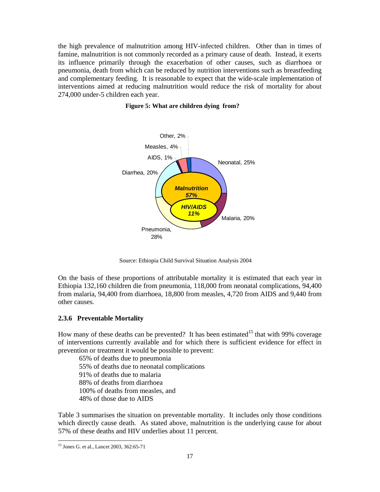the high prevalence of malnutrition among HIV-infected children. Other than in times of famine, malnutrition is not commonly recorded as a primary cause of death. Instead, it exerts its influence primarily through the exacerbation of other causes, such as diarrhoea or pneumonia, death from which can be reduced by nutrition interventions such as breastfeeding and complementary feeding. It is reasonable to expect that the wide-scale implementation of interventions aimed at reducing malnutrition would reduce the risk of mortality for about 274,000 under-5 children each year.





Source: Ethiopia Child Survival Situation Analysis 2004

On the basis of these proportions of attributable mortality it is estimated that each year in Ethiopia 132,160 children die from pneumonia, 118,000 from neonatal complications, 94,400 from malaria, 94,400 from diarrhoea, 18,800 from measles, 4,720 from AIDS and 9,440 from other causes.

# **2.3.6 Preventable Mortality**

How many of these deaths can be prevented? It has been estimated<sup>15</sup> that with 99% coverage of interventions currently available and for which there is sufficient evidence for effect in prevention or treatment it would be possible to prevent:

65% of deaths due to pneumonia 55% of deaths due to neonatal complications 91% of deaths due to malaria 88% of deaths from diarrhoea 100% of deaths from measles, and 48% of those due to AIDS

Table 3 summarises the situation on preventable mortality. It includes only those conditions which directly cause death. As stated above, malnutrition is the underlying cause for about 57% of these deaths and HIV underlies about 11 percent.

 $\overline{a}$ 15 Jones G. et al., Lancet 2003, 362:65-71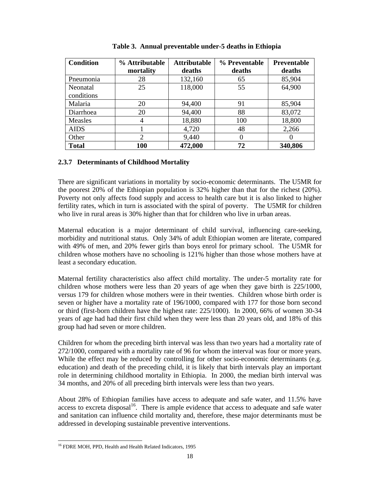| <b>Condition</b> | % Attributable | <b>Attributable</b> | % Preventable | Preventable |
|------------------|----------------|---------------------|---------------|-------------|
|                  | mortality      | deaths              | deaths        | deaths      |
| Pneumonia        | 28             | 132,160             | 65            | 85,904      |
| Neonatal         | 25             | 118,000             | 55            | 64,900      |
| conditions       |                |                     |               |             |
| Malaria          | 20             | 94,400              | 91            | 85,904      |
| Diarrhoea        | 20             | 94,400              | 88            | 83,072      |
| Measles          | 4              | 18,880              | 100           | 18,800      |
| <b>AIDS</b>      |                | 4,720               | 48            | 2,266       |
| Other            | $\overline{2}$ | 9,440               | 0             | $\theta$    |
| <b>Total</b>     | 100            | 472,000             | 72            | 340,806     |

 **Table 3. Annual preventable under-5 deaths in Ethiopia** 

# **2.3.7 Determinants of Childhood Mortality**

There are significant variations in mortality by socio-economic determinants. The U5MR for the poorest 20% of the Ethiopian population is 32% higher than that for the richest (20%). Poverty not only affects food supply and access to health care but it is also linked to higher fertility rates, which in turn is associated with the spiral of poverty. The U5MR for children who live in rural areas is 30% higher than that for children who live in urban areas.

Maternal education is a major determinant of child survival, influencing care-seeking, morbidity and nutritional status. Only 34% of adult Ethiopian women are literate, compared with 49% of men, and 20% fewer girls than boys enrol for primary school. The U5MR for children whose mothers have no schooling is 121% higher than those whose mothers have at least a secondary education.

Maternal fertility characteristics also affect child mortality. The under-5 mortality rate for children whose mothers were less than 20 years of age when they gave birth is 225/1000, versus 179 for children whose mothers were in their twenties. Children whose birth order is seven or higher have a mortality rate of 196/1000, compared with 177 for those born second or third (first-born children have the highest rate: 225/1000). In 2000, 66% of women 30-34 years of age had had their first child when they were less than 20 years old, and 18% of this group had had seven or more children.

Children for whom the preceding birth interval was less than two years had a mortality rate of 272/1000, compared with a mortality rate of 96 for whom the interval was four or more years. While the effect may be reduced by controlling for other socio-economic determinants (e.g. education) and death of the preceding child, it is likely that birth intervals play an important role in determining childhood mortality in Ethiopia. In 2000, the median birth interval was 34 months, and 20% of all preceding birth intervals were less than two years.

About 28% of Ethiopian families have access to adequate and safe water, and 11.5% have access to excreta disposal<sup>16</sup>. There is ample evidence that access to adequate and safe water and sanitation can influence child mortality and, therefore, these major determinants must be addressed in developing sustainable preventive interventions.

 $\overline{a}$ <sup>16</sup> FDRE MOH, PPD, Health and Health Related Indicators, 1995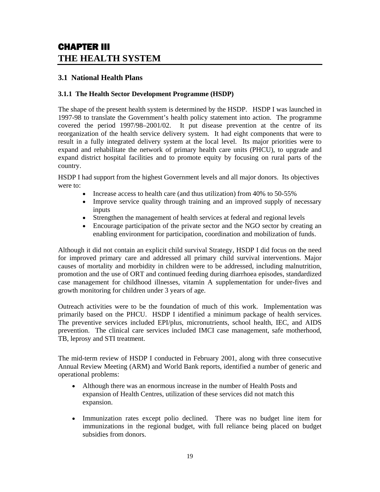# CHAPTER III **THE HEALTH SYSTEM**

# **3.1 National Health Plans**

# **3.1.1 The Health Sector Development Programme (HSDP)**

The shape of the present health system is determined by the HSDP. HSDP I was launched in 1997-98 to translate the Government's health policy statement into action. The programme covered the period 1997/98–2001/02. It put disease prevention at the centre of its reorganization of the health service delivery system. It had eight components that were to result in a fully integrated delivery system at the local level. Its major priorities were to expand and rehabilitate the network of primary health care units (PHCU), to upgrade and expand district hospital facilities and to promote equity by focusing on rural parts of the country.

HSDP I had support from the highest Government levels and all major donors. Its objectives were to:

- Increase access to health care (and thus utilization) from 40% to 50-55%
- Improve service quality through training and an improved supply of necessary inputs
- Strengthen the management of health services at federal and regional levels
- Encourage participation of the private sector and the NGO sector by creating an enabling environment for participation, coordination and mobilization of funds.

Although it did not contain an explicit child survival Strategy, HSDP I did focus on the need for improved primary care and addressed all primary child survival interventions. Major causes of mortality and morbidity in children were to be addressed, including malnutrition, promotion and the use of ORT and continued feeding during diarrhoea episodes, standardized case management for childhood illnesses, vitamin A supplementation for under-fives and growth monitoring for children under 3 years of age.

Outreach activities were to be the foundation of much of this work. Implementation was primarily based on the PHCU. HSDP I identified a minimum package of health services. The preventive services included EPI/plus, micronutrients, school health, IEC, and AIDS prevention. The clinical care services included IMCI case management, safe motherhood, TB, leprosy and STI treatment.

The mid-term review of HSDP I conducted in February 2001, along with three consecutive Annual Review Meeting (ARM) and World Bank reports, identified a number of generic and operational problems:

- Although there was an enormous increase in the number of Health Posts and expansion of Health Centres, utilization of these services did not match this expansion.
- Immunization rates except polio declined. There was no budget line item for immunizations in the regional budget, with full reliance being placed on budget subsidies from donors.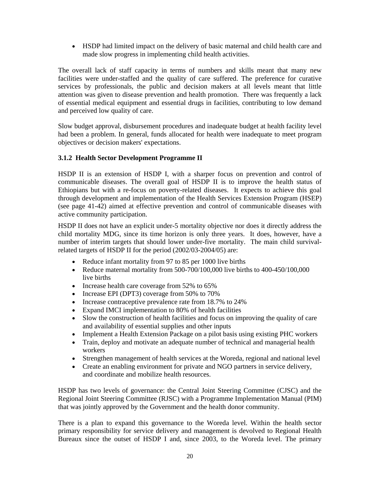• HSDP had limited impact on the delivery of basic maternal and child health care and made slow progress in implementing child health activities.

The overall lack of staff capacity in terms of numbers and skills meant that many new facilities were under-staffed and the quality of care suffered. The preference for curative services by professionals, the public and decision makers at all levels meant that little attention was given to disease prevention and health promotion. There was frequently a lack of essential medical equipment and essential drugs in facilities, contributing to low demand and perceived low quality of care.

Slow budget approval, disbursement procedures and inadequate budget at health facility level had been a problem. In general, funds allocated for health were inadequate to meet program objectives or decision makers' expectations.

# **3.1.2 Health Sector Development Programme II**

HSDP II is an extension of HSDP I, with a sharper focus on prevention and control of communicable diseases. The overall goal of HSDP II is to improve the health status of Ethiopians but with a re-focus on poverty-related diseases. It expects to achieve this goal through development and implementation of the Health Services Extension Program (HSEP) (see page 41-42) aimed at effective prevention and control of communicable diseases with active community participation.

HSDP II does not have an explicit under-5 mortality objective nor does it directly address the child mortality MDG, since its time horizon is only three years. It does, however, have a number of interim targets that should lower under-five mortality. The main child survivalrelated targets of HSDP II for the period (2002/03-2004/05) are:

- Reduce infant mortality from 97 to 85 per 1000 live births
- Reduce maternal mortality from 500-700/100,000 live births to 400-450/100,000 live births
- Increase health care coverage from 52% to 65%
- Increase EPI (DPT3) coverage from 50% to 70%
- Increase contraceptive prevalence rate from 18.7% to 24%
- Expand IMCI implementation to 80% of health facilities
- Slow the construction of health facilities and focus on improving the quality of care and availability of essential supplies and other inputs
- Implement a Health Extension Package on a pilot basis using existing PHC workers
- Train, deploy and motivate an adequate number of technical and managerial health workers
- Strengthen management of health services at the Woreda, regional and national level
- Create an enabling environment for private and NGO partners in service delivery, and coordinate and mobilize health resources.

HSDP has two levels of governance: the Central Joint Steering Committee (CJSC) and the Regional Joint Steering Committee (RJSC) with a Programme Implementation Manual (PIM) that was jointly approved by the Government and the health donor community.

There is a plan to expand this governance to the Woreda level. Within the health sector primary responsibility for service delivery and management is devolved to Regional Health Bureaux since the outset of HSDP I and, since 2003, to the Woreda level. The primary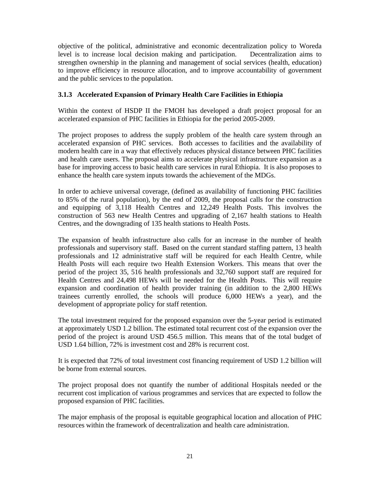objective of the political, administrative and economic decentralization policy to Woreda level is to increase local decision making and participation. Decentralization aims to strengthen ownership in the planning and management of social services (health, education) to improve efficiency in resource allocation, and to improve accountability of government and the public services to the population.

# **3.1.3 Accelerated Expansion of Primary Health Care Facilities in Ethiopia**

Within the context of HSDP II the FMOH has developed a draft project proposal for an accelerated expansion of PHC facilities in Ethiopia for the period 2005-2009.

The project proposes to address the supply problem of the health care system through an accelerated expansion of PHC services. Both accesses to facilities and the availability of modern health care in a way that effectively reduces physical distance between PHC facilities and health care users. The proposal aims to accelerate physical infrastructure expansion as a base for improving access to basic health care services in rural Ethiopia. It is also proposes to enhance the health care system inputs towards the achievement of the MDGs.

In order to achieve universal coverage, (defined as availability of functioning PHC facilities to 85% of the rural population), by the end of 2009, the proposal calls for the construction and equipping of 3,118 Health Centres and 12,249 Health Posts. This involves the construction of 563 new Health Centres and upgrading of 2,167 health stations to Health Centres, and the downgrading of 135 health stations to Health Posts.

The expansion of health infrastructure also calls for an increase in the number of health professionals and supervisory staff. Based on the current standard staffing pattern, 13 health professionals and 12 administrative staff will be required for each Health Centre, while Health Posts will each require two Health Extension Workers. This means that over the period of the project 35, 516 health professionals and 32,760 support staff are required for Health Centres and 24,498 HEWs will be needed for the Health Posts. This will require expansion and coordination of health provider training (in addition to the 2,800 HEWs trainees currently enrolled, the schools will produce 6,000 HEWs a year), and the development of appropriate policy for staff retention.

The total investment required for the proposed expansion over the 5-year period is estimated at approximately USD 1.2 billion. The estimated total recurrent cost of the expansion over the period of the project is around USD 456.5 million. This means that of the total budget of USD 1.64 billion, 72% is investment cost and 28% is recurrent cost.

It is expected that 72% of total investment cost financing requirement of USD 1.2 billion will be borne from external sources.

The project proposal does not quantify the number of additional Hospitals needed or the recurrent cost implication of various programmes and services that are expected to follow the proposed expansion of PHC facilities.

The major emphasis of the proposal is equitable geographical location and allocation of PHC resources within the framework of decentralization and health care administration.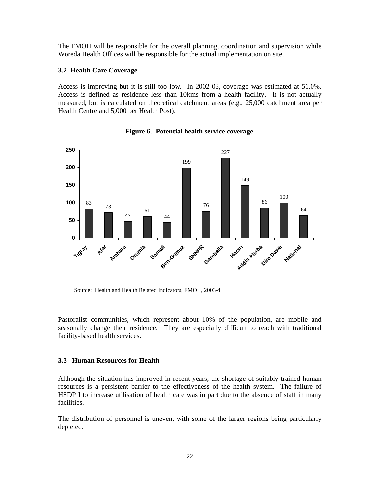The FMOH will be responsible for the overall planning, coordination and supervision while Woreda Health Offices will be responsible for the actual implementation on site.

# **3.2 Health Care Coverage**

Access is improving but it is still too low. In 2002-03, coverage was estimated at 51.0%. Access is defined as residence less than 10kms from a health facility. It is not actually measured, but is calculated on theoretical catchment areas (e.g., 25,000 catchment area per Health Centre and 5,000 per Health Post).



**Figure 6. Potential health service coverage**

Source: Health and Health Related Indicators, FMOH, 2003-4

Pastoralist communities, which represent about 10% of the population, are mobile and seasonally change their residence. They are especially difficult to reach with traditional facility-based health services**.** 

# **3.3 Human Resources for Health**

Although the situation has improved in recent years, the shortage of suitably trained human resources is a persistent barrier to the effectiveness of the health system. The failure of HSDP I to increase utilisation of health care was in part due to the absence of staff in many facilities.

The distribution of personnel is uneven, with some of the larger regions being particularly depleted.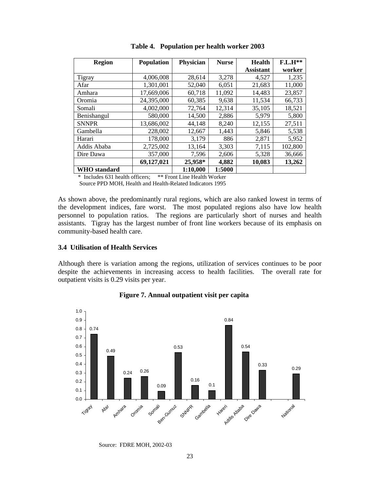| <b>Region</b>       | <b>Population</b> | Physician | <b>Nurse</b> | <b>Health</b>    | $F.L.H**$ |
|---------------------|-------------------|-----------|--------------|------------------|-----------|
|                     |                   |           |              | <b>Assistant</b> | worker    |
| <b>Tigray</b>       | 4,006,008         | 28,614    | 3,278        | 4,527            | 1,235     |
| Afar                | 1,301,001         | 52,040    | 6.051        | 21,683           | 11,000    |
| Amhara              | 17,669,006        | 60,718    | 11,092       | 14,483           | 23,857    |
| Oromia              | 24,395,000        | 60,385    | 9,638        | 11,534           | 66,733    |
| Somali              | 4,002,000         | 72,764    | 12,314       | 35,105           | 18,521    |
| Benishangul         | 580,000           | 14,500    | 2,886        | 5,979            | 5,800     |
| <b>SNNPR</b>        | 13,686,002        | 44,148    | 8,240        | 12,155           | 27,511    |
| Gambella            | 228,002           | 12,667    | 1,443        | 5,846            | 5,538     |
| Harari              | 178,000           | 3,179     | 886          | 2,871            | 5,952     |
| Addis Ababa         | 2,725,002         | 13,164    | 3,303        | 7,115            | 102,800   |
| Dire Dawa           | 357,000           | 7,596     | 2,606        | 5,328            | 36,666    |
|                     | 69,127,021        | 25,958*   | 4,882        | 10,083           | 13,262    |
| <b>WHO</b> standard |                   | 1:10,000  | 1:5000       |                  |           |

**Table 4. Population per health worker 2003** 

\* Includes 631 health officers; \*\* Front Line Health Worker

Source PPD MOH, Health and Health-Related Indicators 1995

As shown above, the predominantly rural regions, which are also ranked lowest in terms of the development indices, fare worst. The most populated regions also have low health personnel to population ratios. The regions are particularly short of nurses and health assistants. Tigray has the largest number of front line workers because of its emphasis on community-based health care.

# **3.4 Utilisation of Health Services**

Although there is variation among the regions, utilization of services continues to be poor despite the achievements in increasing access to health facilities. The overall rate for outpatient visits is 0.29 visits per year.



#### **Figure 7. Annual outpatient visit per capita**

Source: FDRE MOH, 2002-03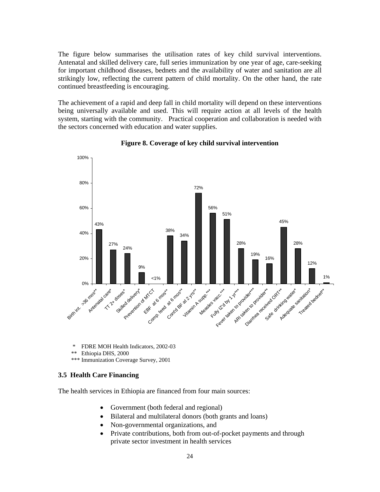The figure below summarises the utilisation rates of key child survival interventions. Antenatal and skilled delivery care, full series immunization by one year of age, care-seeking for important childhood diseases, bednets and the availability of water and sanitation are all strikingly low, reflecting the current pattern of child mortality. On the other hand, the rate continued breastfeeding is encouraging.

The achievement of a rapid and deep fall in child mortality will depend on these interventions being universally available and used. This will require action at all levels of the health system, starting with the community. Practical cooperation and collaboration is needed with the sectors concerned with education and water supplies.



# **Figure 8. Coverage of key child survival intervention**

- FDRE MOH Health Indicators, 2002-03
- \*\* Ethiopia DHS, 2000
- \*\*\* Immunization Coverage Survey, 2001

# **3.5 Health Care Financing**

The health services in Ethiopia are financed from four main sources:

- Government (both federal and regional)
- Bilateral and multilateral donors (both grants and loans)
- Non-governmental organizations, and
- Private contributions, both from out-of-pocket payments and through private sector investment in health services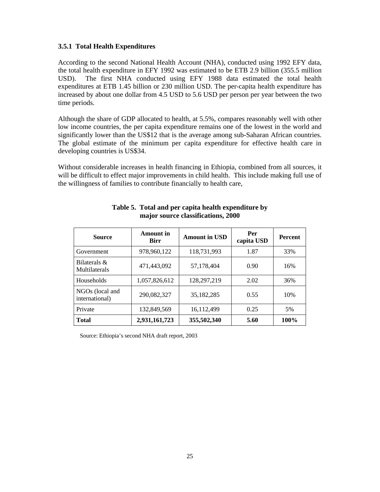# **3.5.1 Total Health Expenditures**

According to the second National Health Account (NHA), conducted using 1992 EFY data, the total health expenditure in EFY 1992 was estimated to be ETB 2.9 billion (355.5 million USD). The first NHA conducted using EFY 1988 data estimated the total health expenditures at ETB 1.45 billion or 230 million USD. The per-capita health expenditure has increased by about one dollar from 4.5 USD to 5.6 USD per person per year between the two time periods.

Although the share of GDP allocated to health, at 5.5%, compares reasonably well with other low income countries, the per capita expenditure remains one of the lowest in the world and significantly lower than the US\$12 that is the average among sub-Saharan African countries. The global estimate of the minimum per capita expenditure for effective health care in developing countries is US\$34.

Without considerable increases in health financing in Ethiopia, combined from all sources, it will be difficult to effect major improvements in child health. This include making full use of the willingness of families to contribute financially to health care,

| <b>Source</b>                     | <b>Amount</b> in<br><b>Birr</b> | <b>Amount in USD</b> | Per<br>capita USD | <b>Percent</b> |
|-----------------------------------|---------------------------------|----------------------|-------------------|----------------|
| Government                        | 978,960,122                     | 118,731,993          | 1.87              | 33%            |
| Bilaterals $\&$<br>Multilaterals  | 471,443,092                     | 57,178,404           | 0.90              | 16%            |
| Households                        | 1,057,826,612                   | 128,297,219          | 2.02              | 36%            |
| NGOs (local and<br>international) | 290,082,327                     | 35,182,285           | 0.55              | 10%            |
| Private                           | 132,849,569                     | 16,112,499           | 0.25              | 5%             |
| <b>Total</b>                      | 2,931,161,723                   | 355,502,340          | 5.60              | 100%           |

# **Table 5. Total and per capita health expenditure by major source classifications, 2000**

Source: Ethiopia's second NHA draft report, 2003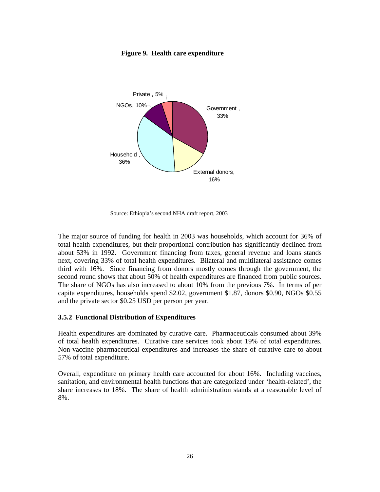

**Figure 9. Health care expenditure** 

Source: Ethiopia's second NHA draft report, 2003

The major source of funding for health in 2003 was households, which account for 36% of total health expenditures, but their proportional contribution has significantly declined from about 53% in 1992. Government financing from taxes, general revenue and loans stands next, covering 33% of total health expenditures. Bilateral and multilateral assistance comes third with 16%. Since financing from donors mostly comes through the government, the second round shows that about 50% of health expenditures are financed from public sources. The share of NGOs has also increased to about 10% from the previous 7%. In terms of per capita expenditures, households spend \$2.02, government \$1.87, donors \$0.90, NGOs \$0.55 and the private sector \$0.25 USD per person per year.

#### **3.5.2 Functional Distribution of Expenditures**

Health expenditures are dominated by curative care. Pharmaceuticals consumed about 39% of total health expenditures. Curative care services took about 19% of total expenditures. Non-vaccine pharmaceutical expenditures and increases the share of curative care to about 57% of total expenditure.

Overall, expenditure on primary health care accounted for about 16%. Including vaccines, sanitation, and environmental health functions that are categorized under 'health-related', the share increases to 18%. The share of health administration stands at a reasonable level of 8%.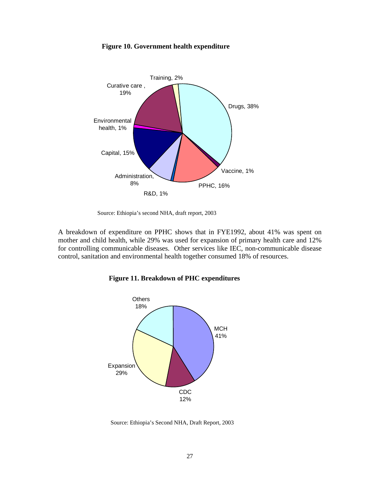

#### **Figure 10. Government health expenditure**

Source: Ethiopia's second NHA, draft report, 2003

A breakdown of expenditure on PPHC shows that in FYE1992, about 41% was spent on mother and child health, while 29% was used for expansion of primary health care and 12% for controlling communicable diseases. Other services like IEC, non-communicable disease control, sanitation and environmental health together consumed 18% of resources.





Source: Ethiopia's Second NHA, Draft Report, 2003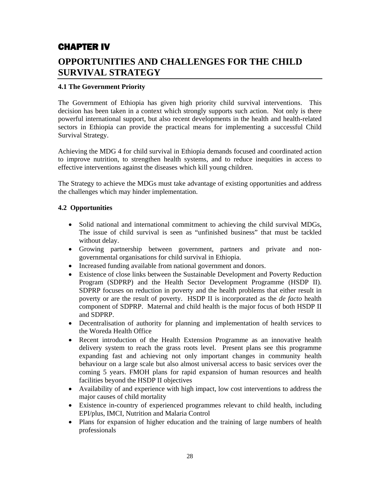# CHAPTER IV

# **OPPORTUNITIES AND CHALLENGES FOR THE CHILD SURVIVAL STRATEGY**

## **4.1 The Government Priority**

The Government of Ethiopia has given high priority child survival interventions. This decision has been taken in a context which strongly supports such action. Not only is there powerful international support, but also recent developments in the health and health-related sectors in Ethiopia can provide the practical means for implementing a successful Child Survival Strategy.

Achieving the MDG 4 for child survival in Ethiopia demands focused and coordinated action to improve nutrition, to strengthen health systems, and to reduce inequities in access to effective interventions against the diseases which kill young children.

The Strategy to achieve the MDGs must take advantage of existing opportunities and address the challenges which may hinder implementation.

## **4.2 Opportunities**

- Solid national and international commitment to achieving the child survival MDGs, The issue of child survival is seen as "unfinished business" that must be tackled without delay.
- Growing partnership between government, partners and private and nongovernmental organisations for child survival in Ethiopia.
- Increased funding available from national government and donors.
- Existence of close links between the Sustainable Development and Poverty Reduction Program (SDPRP) and the Health Sector Development Programme (HSDP II). SDPRP focuses on reduction in poverty and the health problems that either result in poverty or are the result of poverty. HSDP II is incorporated as the *de facto* health component of SDPRP. Maternal and child health is the major focus of both HSDP II and SDPRP.
- Decentralisation of authority for planning and implementation of health services to the Woreda Health Office
- Recent introduction of the Health Extension Programme as an innovative health delivery system to reach the grass roots level. Present plans see this programme expanding fast and achieving not only important changes in community health behaviour on a large scale but also almost universal access to basic services over the coming 5 years. FMOH plans for rapid expansion of human resources and health facilities beyond the HSDP II objectives
- Availability of and experience with high impact, low cost interventions to address the major causes of child mortality
- Existence in-country of experienced programmes relevant to child health, including EPI/plus, IMCI, Nutrition and Malaria Control
- Plans for expansion of higher education and the training of large numbers of health professionals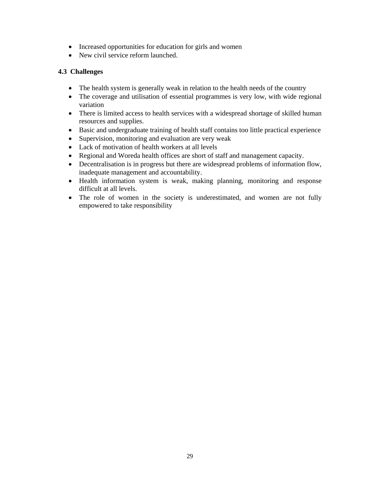- Increased opportunities for education for girls and women
- New civil service reform launched.

## **4.3 Challenges**

- The health system is generally weak in relation to the health needs of the country
- The coverage and utilisation of essential programmes is very low, with wide regional variation
- There is limited access to health services with a widespread shortage of skilled human resources and supplies.
- Basic and undergraduate training of health staff contains too little practical experience
- Supervision, monitoring and evaluation are very weak
- Lack of motivation of health workers at all levels
- Regional and Woreda health offices are short of staff and management capacity.
- Decentralisation is in progress but there are widespread problems of information flow, inadequate management and accountability.
- Health information system is weak, making planning, monitoring and response difficult at all levels.
- The role of women in the society is underestimated, and women are not fully empowered to take responsibility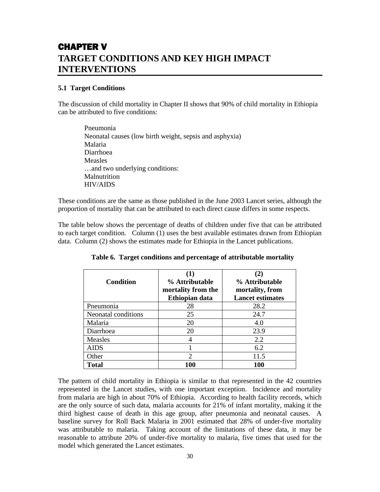# CHAPTER V **TARGET CONDITIONS AND KEY HIGH IMPACT INTERVENTIONS**

## **5.1 Target Conditions**

The discussion of child mortality in Chapter II shows that 90% of child mortality in Ethiopia can be attributed to five conditions:

Pneumonia Neonatal causes (low birth weight, sepsis and asphyxia) Malaria Diarrhoea Measles …and two underlying conditions: Malnutrition HIV/AIDS

These conditions are the same as those published in the June 2003 Lancet series, although the proportion of mortality that can be attributed to each direct cause differs in some respects.

The table below shows the percentage of deaths of children under five that can be attributed to each target condition. Column (1) uses the best available estimates drawn from Ethiopian data. Column (2) shows the estimates made for Ethiopia in the Lancet publications.

| <b>Condition</b>    | $\bf(1)$<br>% Attributable<br>mortality from the<br>Ethiopian data | $\bf(2)$<br>% Attributable<br>mortality, from<br><b>Lancet estimates</b> |
|---------------------|--------------------------------------------------------------------|--------------------------------------------------------------------------|
| Pneumonia           | 28                                                                 | 28.2                                                                     |
| Neonatal conditions | 25                                                                 | 24.7                                                                     |
| Malaria             | 20                                                                 | 4.0                                                                      |
| Diarrhoea           | 20                                                                 | 23.9                                                                     |
| Measles             |                                                                    | 2.2                                                                      |
| <b>AIDS</b>         |                                                                    | 6.2                                                                      |
| Other               | $\mathcal{D}_{\mathcal{L}}$                                        | 11.5                                                                     |
| <b>Total</b>        | 100                                                                | 100                                                                      |

 **Table 6. Target conditions and percentage of attributable mortality** 

The pattern of child mortality in Ethiopia is similar to that represented in the 42 countries represented in the Lancet studies, with one important exception. Incidence and mortality from malaria are high in about 70% of Ethiopia. According to health facility records, which are the only source of such data, malaria accounts for 21% of infant mortality, making it the third highest cause of death in this age group, after pneumonia and neonatal causes. A baseline survey for Roll Back Malaria in 2001 estimated that 28% of under-five mortality was attributable to malaria. Taking account of the limitations of these data, it may be reasonable to attribute 20% of under-five mortality to malaria, five times that used for the model which generated the Lancet estimates.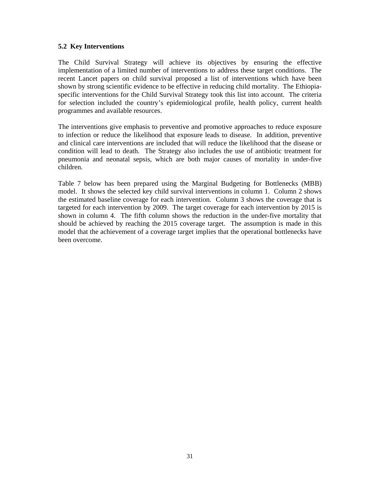## **5.2 Key Interventions**

The Child Survival Strategy will achieve its objectives by ensuring the effective implementation of a limited number of interventions to address these target conditions. The recent Lancet papers on child survival proposed a list of interventions which have been shown by strong scientific evidence to be effective in reducing child mortality. The Ethiopiaspecific interventions for the Child Survival Strategy took this list into account. The criteria for selection included the country's epidemiological profile, health policy, current health programmes and available resources.

The interventions give emphasis to preventive and promotive approaches to reduce exposure to infection or reduce the likelihood that exposure leads to disease. In addition, preventive and clinical care interventions are included that will reduce the likelihood that the disease or condition will lead to death. The Strategy also includes the use of antibiotic treatment for pneumonia and neonatal sepsis, which are both major causes of mortality in under-five children.

Table 7 below has been prepared using the Marginal Budgeting for Bottlenecks (MBB) model. It shows the selected key child survival interventions in column 1. Column 2 shows the estimated baseline coverage for each intervention. Column 3 shows the coverage that is targeted for each intervention by 2009. The target coverage for each intervention by 2015 is shown in column 4. The fifth column shows the reduction in the under-five mortality that should be achieved by reaching the 2015 coverage target. The assumption is made in this model that the achievement of a coverage target implies that the operational bottlenecks have been overcome.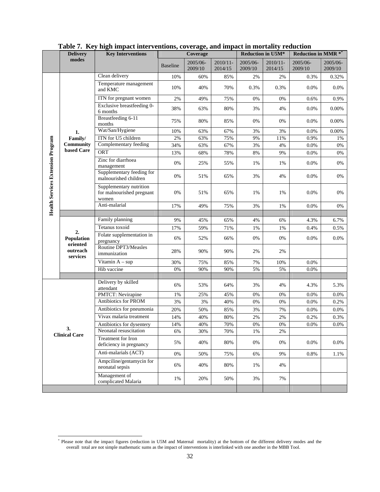|                                          | 1401¢ <i>1</i> 1107<br><b>Delivery</b>               | <b>Key Interventions</b>                                      | men mipace meer centrolly coverage, and mipace in mortancy reduction<br>Coverage |                     |                        | Reduction in U5M*   |                     | Reduction in MMR $^{\ast^{\ast}}$ |                     |
|------------------------------------------|------------------------------------------------------|---------------------------------------------------------------|----------------------------------------------------------------------------------|---------------------|------------------------|---------------------|---------------------|-----------------------------------|---------------------|
|                                          | modes                                                |                                                               | <b>Baseline</b>                                                                  | 2005/06-<br>2009/10 | $2010/11 -$<br>2014/15 | 2005/06-<br>2009/10 | 2010/11-<br>2014/15 | 2005/06-<br>2009/10               | 2005/06-<br>2009/10 |
|                                          |                                                      | Clean delivery                                                | 10%                                                                              | 60%                 | 85%                    | 2%                  | 2%                  | 0.3%                              | 0.32%               |
|                                          |                                                      | Temperature management<br>and KMC                             | 10%                                                                              | 40%                 | 70%                    | 0.3%                | 0.3%                | 0.0%                              | $0.0\%$             |
|                                          |                                                      | ITN for pregnant women                                        | 2%                                                                               | 49%                 | 75%                    | 0%                  | 0%                  | 0.6%                              | 0.9%                |
|                                          |                                                      | Exclusive breastfeeding 0-<br>6 months                        | 38%                                                                              | 63%                 | 80%                    | 3%                  | 4%                  | 0.0%                              | 0.00%               |
|                                          |                                                      | Breastfeeding 6-11<br>months                                  | 75%                                                                              | 80%                 | 85%                    | 0%                  | 0%                  | 0.0%                              | 0.00%               |
|                                          | 1.                                                   | Wat/San/Hygiene                                               | 10%                                                                              | 63%                 | 67%                    | 3%                  | 3%                  | 0.0%                              | 0.00%               |
|                                          | Family/                                              | ITN for U5 children                                           | $2\%$                                                                            | 63%                 | 75%                    | 9%                  | 11%                 | 0.9%                              | 1%                  |
|                                          | <b>Community</b>                                     | Complementary feeding                                         | 34%                                                                              | 63%                 | 67%                    | 3%                  | 4%                  | 0.0%                              | 0%                  |
|                                          | based Care                                           | <b>ORT</b>                                                    | 13%                                                                              | 68%                 | 78%                    | 8%                  | 9%                  | 0.0%                              | 0%                  |
|                                          |                                                      | Zinc for diarrhoea<br>management                              | 0%                                                                               | 25%                 | 55%                    | 1%                  | 1%                  | 0.0%                              | 0%                  |
|                                          |                                                      | Supplementary feeding for<br>malnourished children            | 0%                                                                               | 51%                 | 65%                    | 3%                  | 4%                  | 0.0%                              | 0%                  |
| <b>Health Services Extension Program</b> |                                                      | Supplementary nutrition<br>for malnourished pregnant<br>women | 0%                                                                               | 51%                 | 65%                    | 1%                  | 1%                  | 0.0%                              | 0%                  |
|                                          |                                                      | Anti-malarial                                                 | 17%                                                                              | 49%                 | 75%                    | 3%                  | 1%                  | 0.0%                              | 0%                  |
|                                          |                                                      |                                                               |                                                                                  |                     |                        |                     |                     |                                   |                     |
|                                          | 2.<br>Population<br>oriented<br>outreach<br>services | Family planning                                               | 9%                                                                               | 45%                 | 65%                    | 4%                  | 6%                  | 4.3%                              | 6.7%                |
|                                          |                                                      | Tetanus toxoid                                                | 17%                                                                              | 59%                 | 71%                    | 1%                  | 1%                  | 0.4%                              | 0.5%                |
|                                          |                                                      | Folate supplementation in<br>pregnancy                        | 6%                                                                               | 52%                 | 66%                    | 0%                  | 0%                  | 0.0%                              | 0.0%                |
|                                          |                                                      | Routine DPT3/Measles<br>immunization                          | 28%                                                                              | 90%                 | 90%                    | 2%                  | 2%                  |                                   |                     |
|                                          |                                                      | Vitamin $A - sup$                                             | 30%                                                                              | 75%                 | 85%                    | 7%                  | 10%                 | $0.0\%$                           |                     |
|                                          |                                                      | Hib vaccine                                                   | 0%                                                                               | 90%                 | 90%                    | 5%                  | 5%                  | 0.0%                              |                     |
|                                          |                                                      | Delivery by skilled                                           |                                                                                  |                     |                        |                     |                     |                                   |                     |
|                                          |                                                      | attendant                                                     | 6%                                                                               | 53%                 | 64%                    | 3%                  | 4%                  | 4.3%                              | 5.3%                |
|                                          |                                                      | PMTCT: Nevirapine                                             | 1%                                                                               | 25%                 | 45%                    | 0%                  | 0%                  | 0.0%                              | 0.0%                |
|                                          |                                                      | Antibiotics for PROM                                          | 3%                                                                               | 3%                  | 40%                    | 0%                  | 0%                  | 0.0%                              | 0.2%                |
|                                          |                                                      | Antibiotics for pneumonia                                     | 20%                                                                              | 50%                 | 85%                    | 3%                  | 7%                  | 0.0%                              | $0.0\%$             |
| 3.<br><b>Clinical Care</b>               |                                                      | Vivax malaria treatment                                       | 14%                                                                              | 40%                 | 80%                    | 2%                  | 2%                  | 0.2%                              | 0.3%                |
|                                          |                                                      | Antibiotics for dysentery                                     | 14%                                                                              | 40%                 | 70%                    | 0%                  | 0%                  | 0.0%                              | $0.0\%$             |
|                                          |                                                      | Neonatal resuscitation                                        | 6%                                                                               | 30%                 | 70%                    | 1%                  | 2%                  |                                   |                     |
|                                          |                                                      | Treatment for Iron<br>deficiency in pregnancy                 | 5%                                                                               | 40%                 | 80%                    | 0%                  | 0%                  | $0.0\%$                           | 0.0%                |
|                                          |                                                      | Anti-malarials (ACT)                                          | 0%                                                                               | 50%                 | 75%                    | 6%                  | 9%                  | 0.8%                              | 1.1%                |
|                                          |                                                      | Ampciline/gentamycin for<br>neonatal sepsis                   | 6%                                                                               | 40%                 | 80%                    | 1%                  | 4%                  |                                   |                     |
|                                          |                                                      | Management of<br>complicated Malaria                          | 1%                                                                               | 20%                 | 50%                    | 3%                  | 7%                  |                                   |                     |
|                                          |                                                      |                                                               |                                                                                  |                     |                        |                     |                     |                                   |                     |

**Table 7. Key high impact interventions, coverage, and impact in mortality reduction** 

<sup>\*&</sup>lt;br>Please note that the impact figures (reduction in U5M and Maternal mortality) at the bottom of the different delivery modes and the overall total are not simple mathematic sums as the impact of interventions is interlinked with one another in the MBB Tool.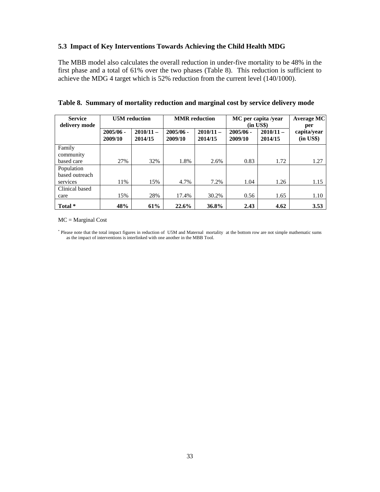## **5.3 Impact of Key Interventions Towards Achieving the Child Health MDG**

The MBB model also calculates the overall reduction in under-five mortality to be 48% in the first phase and a total of 61% over the two phases (Table 8). This reduction is sufficient to achieve the MDG 4 target which is 52% reduction from the current level (140/1000).

| <b>Service</b><br>delivery mode | <b>U5M</b> reduction   |                        |                        | <b>MMR</b> reduction   | MC per capita /year<br>$(in \text{ US\$})$ | <b>Average MC</b><br>per |                             |
|---------------------------------|------------------------|------------------------|------------------------|------------------------|--------------------------------------------|--------------------------|-----------------------------|
|                                 | $2005/06 -$<br>2009/10 | $2010/11 -$<br>2014/15 | $2005/06 -$<br>2009/10 | $2010/11 -$<br>2014/15 | $2005/06 -$<br>2009/10                     | $2010/11 -$<br>2014/15   | capita/year<br>$(in \; US\$ |
| Family                          |                        |                        |                        |                        |                                            |                          |                             |
| community                       |                        |                        |                        |                        |                                            |                          |                             |
| based care                      | 27%                    | 32%                    | 1.8%                   | 2.6%                   | 0.83                                       | 1.72                     | 1.27                        |
| Population                      |                        |                        |                        |                        |                                            |                          |                             |
| based outreach                  |                        |                        |                        |                        |                                            |                          |                             |
| services                        | 11%                    | 15%                    | 4.7%                   | 7.2%                   | 1.04                                       | 1.26                     | 1.15                        |
| Clinical based                  |                        |                        |                        |                        |                                            |                          |                             |
| care                            | 15%                    | 28%                    | 17.4%                  | 30.2%                  | 0.56                                       | 1.65                     | 1.10                        |
| Total *                         | 48%                    | 61%                    | 22.6%                  | 36.8%                  | 2.43                                       | 4.62                     | 3.53                        |

**Table 8. Summary of mortality reduction and marginal cost by service delivery mode** 

MC = Marginal Cost

\* Please note that the total impact figures in reduction of U5M and Maternal mortality at the bottom row are not simple mathematic sums as the impact of interventions is interlinked with one another in the MBB Tool.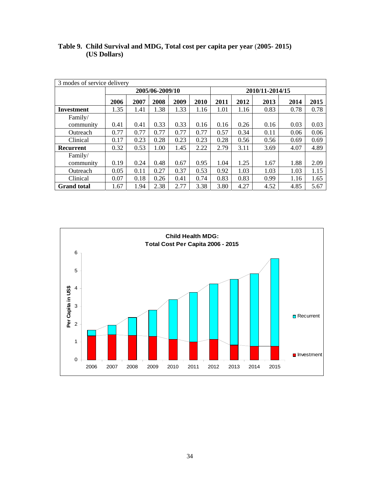| 3 modes of service delivery |      |                 |      |      |      |                 |      |      |      |      |
|-----------------------------|------|-----------------|------|------|------|-----------------|------|------|------|------|
|                             |      | 2005/06-2009/10 |      |      |      | 2010/11-2014/15 |      |      |      |      |
|                             | 2006 | 2007            | 2008 | 2009 | 2010 | 2011            | 2012 | 2013 | 2014 | 2015 |
| Investment                  | 1.35 | 1.41            | 1.38 | 1.33 | 1.16 | 1.01            | 1.16 | 0.83 | 0.78 | 0.78 |
| Family/                     |      |                 |      |      |      |                 |      |      |      |      |
| community                   | 0.41 | 0.41            | 0.33 | 0.33 | 0.16 | 0.16            | 0.26 | 0.16 | 0.03 | 0.03 |
| Outreach                    | 0.77 | 0.77            | 0.77 | 0.77 | 0.77 | 0.57            | 0.34 | 0.11 | 0.06 | 0.06 |
| Clinical                    | 0.17 | 0.23            | 0.28 | 0.23 | 0.23 | 0.28            | 0.56 | 0.56 | 0.69 | 0.69 |
| Recurrent                   | 0.32 | 0.53            | 1.00 | 1.45 | 2.22 | 2.79            | 3.11 | 3.69 | 4.07 | 4.89 |
| Family/                     |      |                 |      |      |      |                 |      |      |      |      |
| community                   | 0.19 | 0.24            | 0.48 | 0.67 | 0.95 | 1.04            | 1.25 | 1.67 | 1.88 | 2.09 |
| Outreach                    | 0.05 | 0.11            | 0.27 | 0.37 | 0.53 | 0.92            | 1.03 | 1.03 | 1.03 | 1.15 |
| Clinical                    | 0.07 | 0.18            | 0.26 | 0.41 | 0.74 | 0.83            | 0.83 | 0.99 | 1.16 | 1.65 |
| <b>Grand</b> total          | 1.67 | 1.94            | 2.38 | 2.77 | 3.38 | 3.80            | 4.27 | 4.52 | 4.85 | 5.67 |

**Table 9. Child Survival and MDG, Total cost per capita per year** (**2005- 2015) (US Dollars)** 

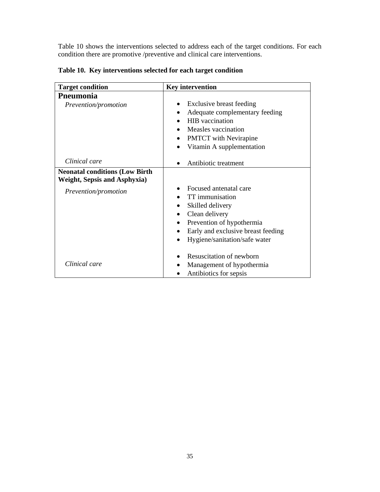Table 10 shows the interventions selected to address each of the target conditions. For each condition there are promotive /preventive and clinical care interventions.

| <b>Target condition</b>                | <b>Key intervention</b>                         |
|----------------------------------------|-------------------------------------------------|
| Pneumonia                              |                                                 |
| Prevention/promotion                   | Exclusive breast feeding<br>$\bullet$           |
|                                        | Adequate complementary feeding                  |
|                                        | <b>HIB</b> vaccination                          |
|                                        | Measles vaccination                             |
|                                        | <b>PMTCT</b> with Nevirapine<br>$\bullet$       |
|                                        | Vitamin A supplementation                       |
|                                        |                                                 |
| Clinical care                          | Antibiotic treatment                            |
| <b>Neonatal conditions (Low Birth)</b> |                                                 |
| <b>Weight, Sepsis and Asphyxia)</b>    |                                                 |
| Prevention/promotion                   | Focused antenatal care                          |
|                                        | <b>TT</b> immunisation                          |
|                                        | Skilled delivery<br>$\bullet$                   |
|                                        | Clean delivery<br>$\bullet$                     |
|                                        | Prevention of hypothermia<br>$\bullet$          |
|                                        | Early and exclusive breast feeding<br>$\bullet$ |
|                                        | Hygiene/sanitation/safe water<br>$\bullet$      |
|                                        |                                                 |
|                                        | Resuscitation of newborn                        |
| Clinical care                          | Management of hypothermia                       |
|                                        | Antibiotics for sepsis                          |

**Table 10. Key interventions selected for each target condition**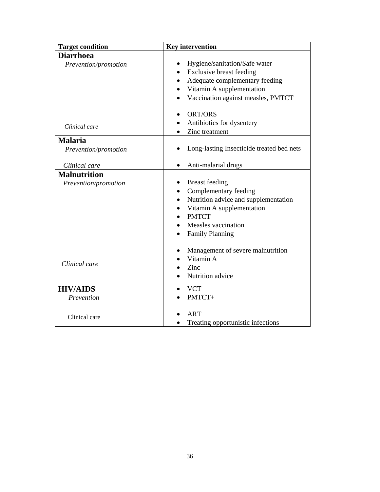| <b>Target condition</b> | <b>Key intervention</b>                   |
|-------------------------|-------------------------------------------|
| <b>Diarrhoea</b>        |                                           |
| Prevention/promotion    | Hygiene/sanitation/Safe water             |
|                         | Exclusive breast feeding<br>$\bullet$     |
|                         | Adequate complementary feeding            |
|                         | Vitamin A supplementation                 |
|                         | Vaccination against measles, PMTCT        |
|                         | ORT/ORS                                   |
| Clinical care           | Antibiotics for dysentery                 |
|                         | Zinc treatment                            |
| <b>Malaria</b>          |                                           |
| Prevention/promotion    | Long-lasting Insecticide treated bed nets |
| Clinical care           | Anti-malarial drugs<br>$\bullet$          |
| <b>Malnutrition</b>     |                                           |
| Prevention/promotion    | <b>Breast</b> feeding                     |
|                         | Complementary feeding                     |
|                         | Nutrition advice and supplementation      |
|                         | Vitamin A supplementation                 |
|                         | <b>PMTCT</b>                              |
|                         | Measles vaccination                       |
|                         | <b>Family Planning</b>                    |
|                         | Management of severe malnutrition         |
|                         | Vitamin A                                 |
| Clinical care           | Zinc                                      |
|                         | Nutrition advice                          |
| <b>HIV/AIDS</b>         | <b>VCT</b>                                |
| Prevention              | PMTCT+                                    |
| Clinical care           | <b>ART</b>                                |
|                         | Treating opportunistic infections         |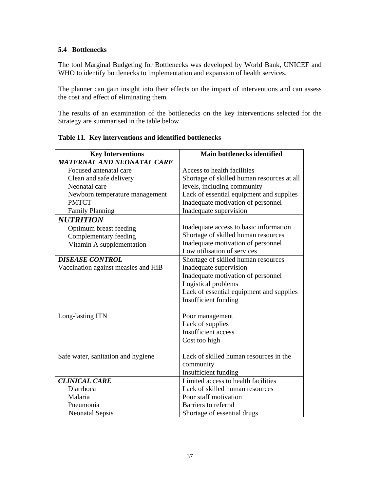## **5.4 Bottlenecks**

The tool Marginal Budgeting for Bottlenecks was developed by World Bank, UNICEF and WHO to identify bottlenecks to implementation and expansion of health services.

The planner can gain insight into their effects on the impact of interventions and can assess the cost and effect of eliminating them.

The results of an examination of the bottlenecks on the key interventions selected for the Strategy are summarised in the table below.

| <b>Key Interventions</b>            | Main bottlenecks identified                |
|-------------------------------------|--------------------------------------------|
| <b>MATERNAL AND NEONATAL CARE</b>   |                                            |
| Focused antenatal care              | Access to health facilities                |
| Clean and safe delivery             | Shortage of skilled human resources at all |
| Neonatal care                       | levels, including community                |
| Newborn temperature management      | Lack of essential equipment and supplies   |
| <b>PMTCT</b>                        | Inadequate motivation of personnel         |
| <b>Family Planning</b>              | Inadequate supervision                     |
| <b>NUTRITION</b>                    |                                            |
| Optimum breast feeding              | Inadequate access to basic information     |
| Complementary feeding               | Shortage of skilled human resources        |
| Vitamin A supplementation           | Inadequate motivation of personnel         |
|                                     | Low utilisation of services                |
| <b>DISEASE CONTROL</b>              | Shortage of skilled human resources        |
| Vaccination against measles and HiB | Inadequate supervision                     |
|                                     | Inadequate motivation of personnel         |
|                                     | Logistical problems                        |
|                                     | Lack of essential equipment and supplies   |
|                                     | Insufficient funding                       |
|                                     |                                            |
| Long-lasting ITN                    | Poor management                            |
|                                     | Lack of supplies                           |
|                                     | <b>Insufficient</b> access                 |
|                                     | Cost too high                              |
|                                     |                                            |
| Safe water, sanitation and hygiene  | Lack of skilled human resources in the     |
|                                     | community                                  |
|                                     | Insufficient funding                       |
| <b>CLINICAL CARE</b>                | Limited access to health facilities        |
| Diarrhoea                           | Lack of skilled human resources            |
| Malaria                             | Poor staff motivation                      |
| Pneumonia                           | Barriers to referral                       |
| <b>Neonatal Sepsis</b>              | Shortage of essential drugs                |

## **Table 11. Key interventions and identified bottlenecks**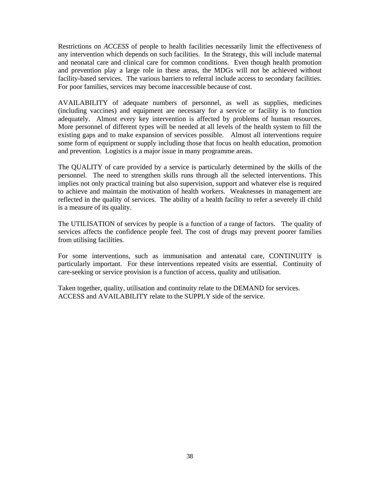Restrictions on *ACCESS* of people to health facilities necessarily limit the effectiveness of any intervention which depends on such facilities. In the Strategy, this will include maternal and neonatal care and clinical care for common conditions. Even though health promotion and prevention play a large role in these areas, the MDGs will not be achieved without facility-based services. The various barriers to referral include access to secondary facilities. For poor families, services may become inaccessible because of cost.

AVAILABILITY of adequate numbers of personnel, as well as supplies, medicines (including vaccines) and equipment are necessary for a service or facility is to function adequately. Almost every key intervention is affected by problems of human resources. More personnel of different types will be needed at all levels of the health system to fill the existing gaps and to make expansion of services possible. Almost all interventions require some form of equipment or supply including those that focus on health education, promotion and prevention. Logistics is a major issue in many programme areas.

The QUALITY of care provided by a service is particularly determined by the skills of the personnel. The need to strengthen skills runs through all the selected interventions. This implies not only practical training but also supervision, support and whatever else is required to achieve and maintain the motivation of health workers. Weaknesses in management are reflected in the quality of services. The ability of a health facility to refer a severely ill child is a measure of its quality.

The UTILISATION of services by people is a function of a range of factors. The quality of services affects the confidence people feel. The cost of drugs may prevent poorer families from utilising facilities.

For some interventions, such as immunisation and antenatal care, CONTINUITY is particularly important. For these interventions repeated visits are essential. Continuity of care-seeking or service provision is a function of access, quality and utilisation.

Taken together, quality, utilisation and continuity relate to the DEMAND for services. ACCESS and AVAILABILITY relate to the SUPPLY side of the service.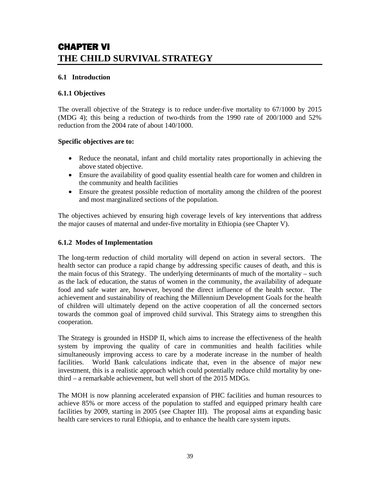# CHAPTER VI **THE CHILD SURVIVAL STRATEGY**

## **6.1 Introduction**

## **6.1.1 Objectives**

The overall objective of the Strategy is to reduce under-five mortality to 67/1000 by 2015 (MDG 4); this being a reduction of two-thirds from the 1990 rate of 200/1000 and 52% reduction from the 2004 rate of about 140/1000.

## **Specific objectives are to:**

- Reduce the neonatal, infant and child mortality rates proportionally in achieving the above stated objective.
- Ensure the availability of good quality essential health care for women and children in the community and health facilities
- Ensure the greatest possible reduction of mortality among the children of the poorest and most marginalized sections of the population.

The objectives achieved by ensuring high coverage levels of key interventions that address the major causes of maternal and under-five mortality in Ethiopia (see Chapter V).

## **6.1.2 Modes of Implementation**

The long-term reduction of child mortality will depend on action in several sectors. The health sector can produce a rapid change by addressing specific causes of death, and this is the main focus of this Strategy. The underlying determinants of much of the mortality – such as the lack of education, the status of women in the community, the availability of adequate food and safe water are, however, beyond the direct influence of the health sector. The achievement and sustainability of reaching the Millennium Development Goals for the health of children will ultimately depend on the active cooperation of all the concerned sectors towards the common goal of improved child survival. This Strategy aims to strengthen this cooperation.

The Strategy is grounded in HSDP II, which aims to increase the effectiveness of the health system by improving the quality of care in communities and health facilities while simultaneously improving access to care by a moderate increase in the number of health facilities. World Bank calculations indicate that, even in the absence of major new investment, this is a realistic approach which could potentially reduce child mortality by onethird – a remarkable achievement, but well short of the 2015 MDGs.

The MOH is now planning accelerated expansion of PHC facilities and human resources to achieve 85% or more access of the population to staffed and equipped primary health care facilities by 2009, starting in 2005 (see Chapter III). The proposal aims at expanding basic health care services to rural Ethiopia, and to enhance the health care system inputs.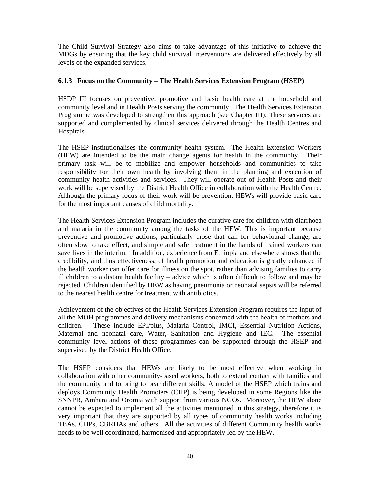The Child Survival Strategy also aims to take advantage of this initiative to achieve the MDGs by ensuring that the key child survival interventions are delivered effectively by all levels of the expanded services.

## **6.1.3 Focus on the Community – The Health Services Extension Program (HSEP)**

HSDP III focuses on preventive, promotive and basic health care at the household and community level and in Health Posts serving the community. The Health Services Extension Programme was developed to strengthen this approach (see Chapter III). These services are supported and complemented by clinical services delivered through the Health Centres and Hospitals.

The HSEP institutionalises the community health system. The Health Extension Workers (HEW) are intended to be the main change agents for health in the community. Their primary task will be to mobilize and empower households and communities to take responsibility for their own health by involving them in the planning and execution of community health activities and services. They will operate out of Health Posts and their work will be supervised by the District Health Office in collaboration with the Health Centre. Although the primary focus of their work will be prevention, HEWs will provide basic care for the most important causes of child mortality.

The Health Services Extension Program includes the curative care for children with diarrhoea and malaria in the community among the tasks of the HEW. This is important because preventive and promotive actions, particularly those that call for behavioural change, are often slow to take effect, and simple and safe treatment in the hands of trained workers can save lives in the interim. In addition, experience from Ethiopia and elsewhere shows that the credibility, and thus effectiveness, of health promotion and education is greatly enhanced if the health worker can offer care for illness on the spot, rather than advising families to carry ill children to a distant health facility – advice which is often difficult to follow and may be rejected. Children identified by HEW as having pneumonia or neonatal sepsis will be referred to the nearest health centre for treatment with antibiotics.

Achievement of the objectives of the Health Services Extension Program requires the input of all the MOH programmes and delivery mechanisms concerned with the health of mothers and children. These include EPI/plus, Malaria Control, IMCI, Essential Nutrition Actions, Maternal and neonatal care, Water, Sanitation and Hygiene and IEC. The essential community level actions of these programmes can be supported through the HSEP and supervised by the District Health Office.

The HSEP considers that HEWs are likely to be most effective when working in collaboration with other community-based workers, both to extend contact with families and the community and to bring to bear different skills. A model of the HSEP which trains and deploys Community Health Promoters (CHP) is being developed in some Regions like the SNNPR, Amhara and Oromia with support from various NGOs. Moreover, the HEW alone cannot be expected to implement all the activities mentioned in this strategy, therefore it is very important that they are supported by all types of community health works including TBAs, CHPs, CBRHAs and others. All the activities of different Community health works needs to be well coordinated, harmonised and appropriately led by the HEW.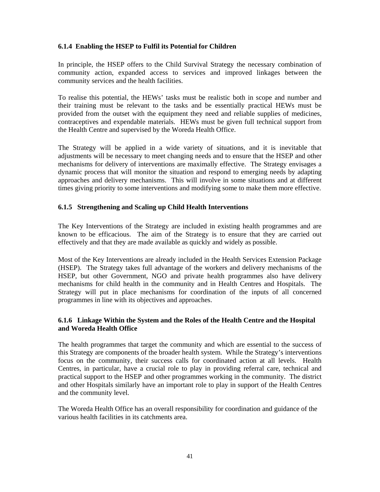## **6.1.4 Enabling the HSEP to Fulfil its Potential for Children**

In principle, the HSEP offers to the Child Survival Strategy the necessary combination of community action, expanded access to services and improved linkages between the community services and the health facilities.

To realise this potential, the HEWs' tasks must be realistic both in scope and number and their training must be relevant to the tasks and be essentially practical HEWs must be provided from the outset with the equipment they need and reliable supplies of medicines, contraceptives and expendable materials. HEWs must be given full technical support from the Health Centre and supervised by the Woreda Health Office.

The Strategy will be applied in a wide variety of situations, and it is inevitable that adjustments will be necessary to meet changing needs and to ensure that the HSEP and other mechanisms for delivery of interventions are maximally effective. The Strategy envisages a dynamic process that will monitor the situation and respond to emerging needs by adapting approaches and delivery mechanisms. This will involve in some situations and at different times giving priority to some interventions and modifying some to make them more effective.

## **6.1.5 Strengthening and Scaling up Child Health Interventions**

The Key Interventions of the Strategy are included in existing health programmes and are known to be efficacious. The aim of the Strategy is to ensure that they are carried out effectively and that they are made available as quickly and widely as possible.

Most of the Key Interventions are already included in the Health Services Extension Package (HSEP). The Strategy takes full advantage of the workers and delivery mechanisms of the HSEP, but other Government, NGO and private health programmes also have delivery mechanisms for child health in the community and in Health Centres and Hospitals. The Strategy will put in place mechanisms for coordination of the inputs of all concerned programmes in line with its objectives and approaches.

## **6.1.6 Linkage Within the System and the Roles of the Health Centre and the Hospital and Woreda Health Office**

The health programmes that target the community and which are essential to the success of this Strategy are components of the broader health system. While the Strategy's interventions focus on the community, their success calls for coordinated action at all levels. Health Centres, in particular, have a crucial role to play in providing referral care, technical and practical support to the HSEP and other programmes working in the community. The district and other Hospitals similarly have an important role to play in support of the Health Centres and the community level.

The Woreda Health Office has an overall responsibility for coordination and guidance of the various health facilities in its catchments area.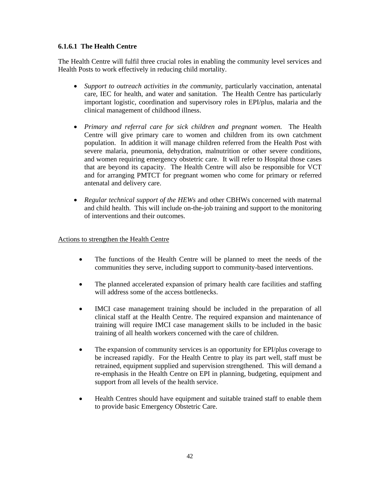## **6.1.6.1 The Health Centre**

The Health Centre will fulfil three crucial roles in enabling the community level services and Health Posts to work effectively in reducing child mortality.

- *Support to outreach activities in the community*, particularly vaccination, antenatal care, IEC for health, and water and sanitation. The Health Centre has particularly important logistic, coordination and supervisory roles in EPI/plus, malaria and the clinical management of childhood illness.
- *Primary and referral care for sick children and pregnant women.* The Health Centre will give primary care to women and children from its own catchment population. In addition it will manage children referred from the Health Post with severe malaria, pneumonia, dehydration, malnutrition or other severe conditions, and women requiring emergency obstetric care. It will refer to Hospital those cases that are beyond its capacity. The Health Centre will also be responsible for VCT and for arranging PMTCT for pregnant women who come for primary or referred antenatal and delivery care.
- *Regular technical support of the HEWs* and other CBHWs concerned with maternal and child health. This will include on-the-job training and support to the monitoring of interventions and their outcomes.

## Actions to strengthen the Health Centre

- The functions of the Health Centre will be planned to meet the needs of the communities they serve, including support to community-based interventions.
- The planned accelerated expansion of primary health care facilities and staffing will address some of the access bottlenecks.
- IMCI case management training should be included in the preparation of all clinical staff at the Health Centre. The required expansion and maintenance of training will require IMCI case management skills to be included in the basic training of all health workers concerned with the care of children.
- The expansion of community services is an opportunity for EPI/plus coverage to be increased rapidly. For the Health Centre to play its part well, staff must be retrained, equipment supplied and supervision strengthened. This will demand a re-emphasis in the Health Centre on EPI in planning, budgeting, equipment and support from all levels of the health service.
- Health Centres should have equipment and suitable trained staff to enable them to provide basic Emergency Obstetric Care.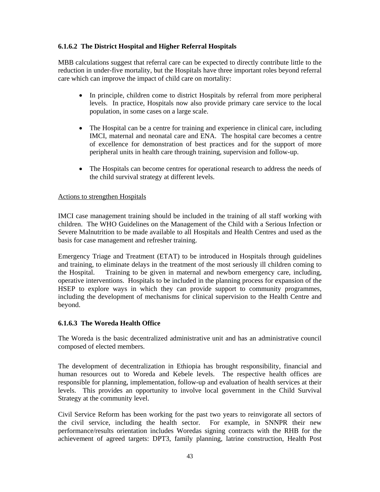## **6.1.6.2 The District Hospital and Higher Referral Hospitals**

MBB calculations suggest that referral care can be expected to directly contribute little to the reduction in under-five mortality, but the Hospitals have three important roles beyond referral care which can improve the impact of child care on mortality:

- In principle, children come to district Hospitals by referral from more peripheral levels. In practice, Hospitals now also provide primary care service to the local population, in some cases on a large scale.
- The Hospital can be a centre for training and experience in clinical care, including IMCI, maternal and neonatal care and ENA. The hospital care becomes a centre of excellence for demonstration of best practices and for the support of more peripheral units in health care through training, supervision and follow-up.
- The Hospitals can become centres for operational research to address the needs of the child survival strategy at different levels.

## Actions to strengthen Hospitals

IMCI case management training should be included in the training of all staff working with children. The WHO Guidelines on the Management of the Child with a Serious Infection or Severe Malnutrition to be made available to all Hospitals and Health Centres and used as the basis for case management and refresher training.

Emergency Triage and Treatment (ETAT) to be introduced in Hospitals through guidelines and training, to eliminate delays in the treatment of the most seriously ill children coming to the Hospital. Training to be given in maternal and newborn emergency care, including, operative interventions. Hospitals to be included in the planning process for expansion of the HSEP to explore ways in which they can provide support to community programmes, including the development of mechanisms for clinical supervision to the Health Centre and beyond.

## **6.1.6.3 The Woreda Health Office**

The Woreda is the basic decentralized administrative unit and has an administrative council composed of elected members.

The development of decentralization in Ethiopia has brought responsibility, financial and human resources out to Woreda and Kebele levels. The respective health offices are responsible for planning, implementation, follow-up and evaluation of health services at their levels. This provides an opportunity to involve local government in the Child Survival Strategy at the community level.

Civil Service Reform has been working for the past two years to reinvigorate all sectors of the civil service, including the health sector. For example, in SNNPR their new performance/results orientation includes Woredas signing contracts with the RHB for the achievement of agreed targets: DPT3, family planning, latrine construction, Health Post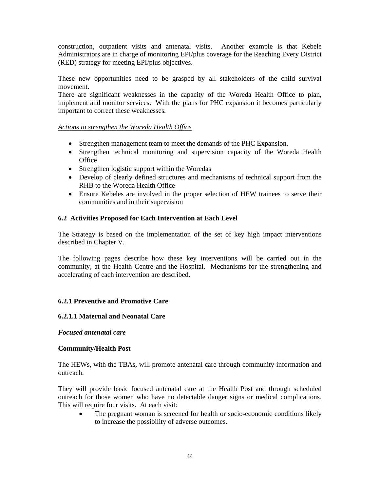construction, outpatient visits and antenatal visits. Another example is that Kebele Administrators are in charge of monitoring EPI/plus coverage for the Reaching Every District (RED) strategy for meeting EPI/plus objectives.

These new opportunities need to be grasped by all stakeholders of the child survival movement.

There are significant weaknesses in the capacity of the Woreda Health Office to plan, implement and monitor services. With the plans for PHC expansion it becomes particularly important to correct these weaknesses*.* 

## *Actions to strengthen the Woreda Health Office*

- Strengthen management team to meet the demands of the PHC Expansion.
- Strengthen technical monitoring and supervision capacity of the Woreda Health **Office**
- Strengthen logistic support within the Woredas
- Develop of clearly defined structures and mechanisms of technical support from the RHB to the Woreda Health Office
- Ensure Kebeles are involved in the proper selection of HEW trainees to serve their communities and in their supervision

## **6.2 Activities Proposed for Each Intervention at Each Level**

The Strategy is based on the implementation of the set of key high impact interventions described in Chapter V.

The following pages describe how these key interventions will be carried out in the community, at the Health Centre and the Hospital. Mechanisms for the strengthening and accelerating of each intervention are described.

## **6.2.1 Preventive and Promotive Care**

## **6.2.1.1 Maternal and Neonatal Care**

## *Focused antenatal care*

## **Community/Health Post**

The HEWs, with the TBAs, will promote antenatal care through community information and outreach.

They will provide basic focused antenatal care at the Health Post and through scheduled outreach for those women who have no detectable danger signs or medical complications. This will require four visits. At each visit:

The pregnant woman is screened for health or socio-economic conditions likely to increase the possibility of adverse outcomes.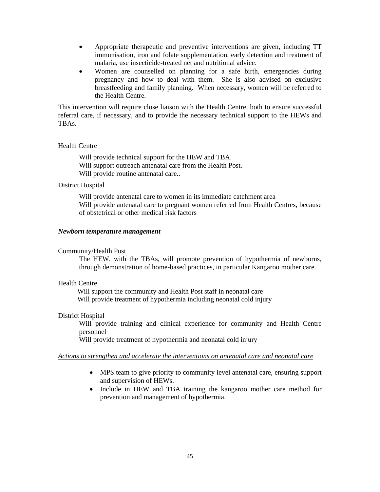- Appropriate therapeutic and preventive interventions are given, including TT immunisation, iron and folate supplementation, early detection and treatment of malaria, use insecticide-treated net and nutritional advice.
- Women are counselled on planning for a safe birth, emergencies during pregnancy and how to deal with them. She is also advised on exclusive breastfeeding and family planning. When necessary, women will be referred to the Health Centre.

This intervention will require close liaison with the Health Centre, both to ensure successful referral care, if necessary, and to provide the necessary technical support to the HEWs and TBAs.

#### Health Centre

Will provide technical support for the HEW and TBA. Will support outreach antenatal care from the Health Post. Will provide routine antenatal care..

#### District Hospital

Will provide antenatal care to women in its immediate catchment area Will provide antenatal care to pregnant women referred from Health Centres, because of obstetrical or other medical risk factors

#### *Newborn temperature management*

#### Community/Health Post

The HEW, with the TBAs, will promote prevention of hypothermia of newborns, through demonstration of home-based practices, in particular Kangaroo mother care.

#### Health Centre

 Will support the community and Health Post staff in neonatal care Will provide treatment of hypothermia including neonatal cold injury

#### District Hospital

Will provide training and clinical experience for community and Health Centre personnel

Will provide treatment of hypothermia and neonatal cold injury

#### *Actions to strengthen and accelerate the interventions on antenatal care and neonatal care*

- MPS team to give priority to community level antenatal care, ensuring support and supervision of HEWs.
- Include in HEW and TBA training the kangaroo mother care method for prevention and management of hypothermia.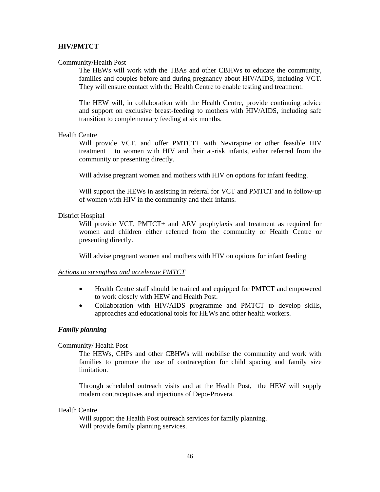## **HIV/PMTCT**

#### Community/Health Post

The HEWs will work with the TBAs and other CBHWs to educate the community, families and couples before and during pregnancy about HIV/AIDS, including VCT. They will ensure contact with the Health Centre to enable testing and treatment.

The HEW will, in collaboration with the Health Centre, provide continuing advice and support on exclusive breast-feeding to mothers with HIV/AIDS, including safe transition to complementary feeding at six months.

#### Health Centre

 Will provide VCT, and offer PMTCT+ with Nevirapine or other feasible HIV treatment to women with HIV and their at-risk infants, either referred from the community or presenting directly.

Will advise pregnant women and mothers with HIV on options for infant feeding.

Will support the HEWs in assisting in referral for VCT and PMTCT and in follow-up of women with HIV in the community and their infants.

#### District Hospital

Will provide VCT, PMTCT+ and ARV prophylaxis and treatment as required for women and children either referred from the community or Health Centre or presenting directly.

Will advise pregnant women and mothers with HIV on options for infant feeding

#### *Actions to strengthen and accelerate PMTCT*

- Health Centre staff should be trained and equipped for PMTCT and empowered to work closely with HEW and Health Post.
- Collaboration with HIV/AIDS programme and PMTCT to develop skills, approaches and educational tools for HEWs and other health workers.

#### *Family planning*

#### Community/ Health Post

The HEWs, CHPs and other CBHWs will mobilise the community and work with families to promote the use of contraception for child spacing and family size limitation.

Through scheduled outreach visits and at the Health Post, the HEW will supply modern contraceptives and injections of Depo-Provera.

## Health Centre

Will support the Health Post outreach services for family planning. Will provide family planning services.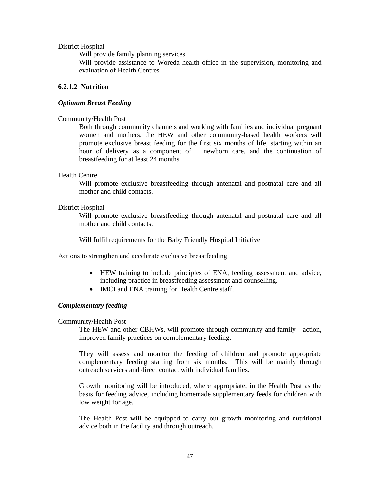#### District Hospital

Will provide family planning services Will provide assistance to Woreda health office in the supervision, monitoring and evaluation of Health Centres

## **6.2.1.2 Nutrition**

#### *Optimum Breast Feeding*

#### Community/Health Post

Both through community channels and working with families and individual pregnant women and mothers, the HEW and other community-based health workers will promote exclusive breast feeding for the first six months of life, starting within an hour of delivery as a component of newborn care, and the continuation of breastfeeding for at least 24 months.

#### Health Centre

Will promote exclusive breastfeeding through antenatal and postnatal care and all mother and child contacts.

#### District Hospital

Will promote exclusive breastfeeding through antenatal and postnatal care and all mother and child contacts.

Will fulfil requirements for the Baby Friendly Hospital Initiative

#### Actions to strengthen and accelerate exclusive breastfeeding

- HEW training to include principles of ENA, feeding assessment and advice, including practice in breastfeeding assessment and counselling.
- IMCI and ENA training for Health Centre staff.

## *Complementary feeding*

#### Community/Health Post

 The HEW and other CBHWs, will promote through community and family action, improved family practices on complementary feeding.

They will assess and monitor the feeding of children and promote appropriate complementary feeding starting from six months. This will be mainly through outreach services and direct contact with individual families.

Growth monitoring will be introduced, where appropriate, in the Health Post as the basis for feeding advice, including homemade supplementary feeds for children with low weight for age.

The Health Post will be equipped to carry out growth monitoring and nutritional advice both in the facility and through outreach.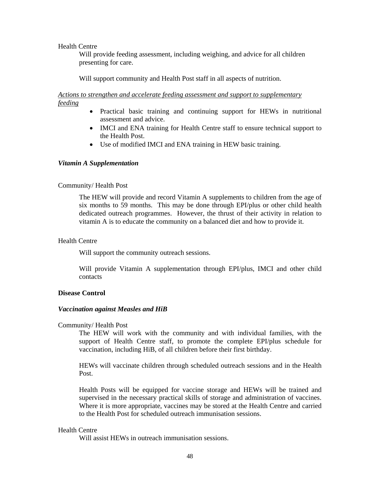#### Health Centre

Will provide feeding assessment, including weighing, and advice for all children presenting for care.

Will support community and Health Post staff in all aspects of nutrition.

*Actions to strengthen and accelerate feeding assessment and support to supplementary feeding* 

- Practical basic training and continuing support for HEWs in nutritional assessment and advice.
- IMCI and ENA training for Health Centre staff to ensure technical support to the Health Post.
- Use of modified IMCI and ENA training in HEW basic training.

#### *Vitamin A Supplementation*

#### Community/ Health Post

The HEW will provide and record Vitamin A supplements to children from the age of six months to 59 months. This may be done through EPI/plus or other child health dedicated outreach programmes. However, the thrust of their activity in relation to vitamin A is to educate the community on a balanced diet and how to provide it.

#### Health Centre

Will support the community outreach sessions.

Will provide Vitamin A supplementation through EPI/plus, IMCI and other child contacts

#### **Disease Control**

#### *Vaccination against Measles and HiB*

#### Community/ Health Post

The HEW will work with the community and with individual families, with the support of Health Centre staff, to promote the complete EPI/plus schedule for vaccination, including HiB, of all children before their first birthday.

HEWs will vaccinate children through scheduled outreach sessions and in the Health Post.

Health Posts will be equipped for vaccine storage and HEWs will be trained and supervised in the necessary practical skills of storage and administration of vaccines. Where it is more appropriate, vaccines may be stored at the Health Centre and carried to the Health Post for scheduled outreach immunisation sessions.

#### Health Centre

Will assist HEWs in outreach immunisation sessions.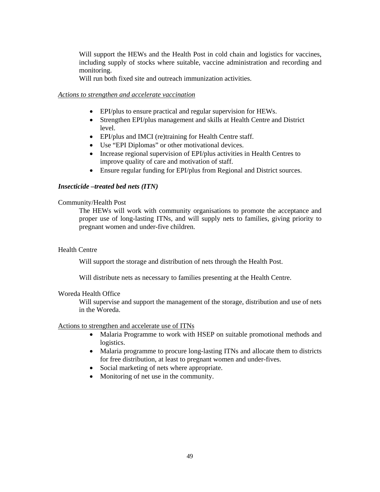Will support the HEWs and the Health Post in cold chain and logistics for vaccines, including supply of stocks where suitable, vaccine administration and recording and monitoring.

Will run both fixed site and outreach immunization activities.

#### *Actions to strengthen and accelerate vaccination*

- EPI/plus to ensure practical and regular supervision for HEWs.
- Strengthen EPI/plus management and skills at Health Centre and District level.
- EPI/plus and IMCI (re)training for Health Centre staff.
- Use "EPI Diplomas" or other motivational devices.
- Increase regional supervision of EPI/plus activities in Health Centres to improve quality of care and motivation of staff.
- Ensure regular funding for EPI/plus from Regional and District sources.

#### *Insecticide –treated bed nets (ITN)*

#### Community/Health Post

The HEWs will work with community organisations to promote the acceptance and proper use of long-lasting ITNs, and will supply nets to families, giving priority to pregnant women and under-five children.

#### Health Centre

Will support the storage and distribution of nets through the Health Post.

Will distribute nets as necessary to families presenting at the Health Centre.

#### Woreda Health Office

Will supervise and support the management of the storage, distribution and use of nets in the Woreda.

#### Actions to strengthen and accelerate use of ITNs

- Malaria Programme to work with HSEP on suitable promotional methods and logistics.
- Malaria programme to procure long-lasting ITNs and allocate them to districts for free distribution, at least to pregnant women and under-fives.
- Social marketing of nets where appropriate.
- Monitoring of net use in the community.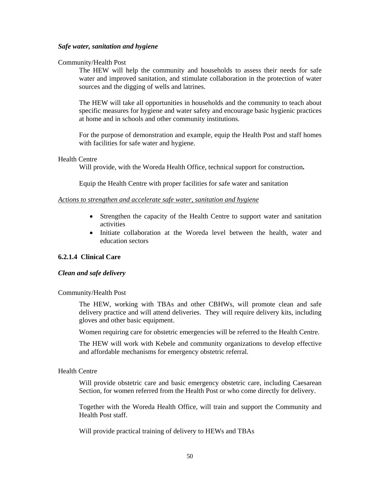#### *Safe water, sanitation and hygiene*

#### Community/Health Post

The HEW will help the community and households to assess their needs for safe water and improved sanitation, and stimulate collaboration in the protection of water sources and the digging of wells and latrines.

The HEW will take all opportunities in households and the community to teach about specific measures for hygiene and water safety and encourage basic hygienic practices at home and in schools and other community institutions.

For the purpose of demonstration and example, equip the Health Post and staff homes with facilities for safe water and hygiene.

#### Health Centre

Will provide, with the Woreda Health Office, technical support for construction**.** 

Equip the Health Centre with proper facilities for safe water and sanitation

#### *Actions to strengthen and accelerate safe water, sanitation and hygiene*

- Strengthen the capacity of the Health Centre to support water and sanitation activities
- Initiate collaboration at the Woreda level between the health, water and education sectors

## **6.2.1.4 Clinical Care**

#### *Clean and safe delivery*

#### Community/Health Post

The HEW, working with TBAs and other CBHWs, will promote clean and safe delivery practice and will attend deliveries. They will require delivery kits, including gloves and other basic equipment.

Women requiring care for obstetric emergencies will be referred to the Health Centre.

The HEW will work with Kebele and community organizations to develop effective and affordable mechanisms for emergency obstetric referral.

#### Health Centre

Will provide obstetric care and basic emergency obstetric care, including Caesarean Section, for women referred from the Health Post or who come directly for delivery.

Together with the Woreda Health Office, will train and support the Community and Health Post staff.

Will provide practical training of delivery to HEWs and TBAs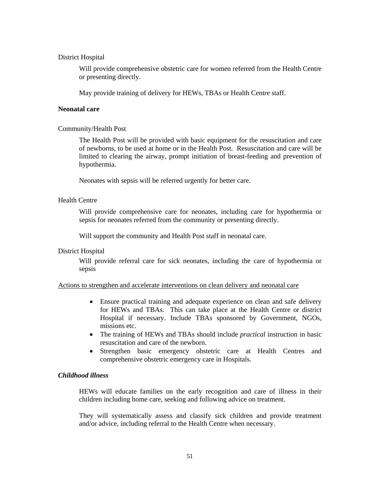#### District Hospital

Will provide comprehensive obstetric care for women referred from the Health Centre or presenting directly.

May provide training of delivery for HEWs, TBAs or Health Centre staff.

## **Neonatal care**

#### Community/Health Post

The Health Post will be provided with basic equipment for the resuscitation and care of newborns, to be used at home or in the Health Post. Resuscitation and care will be limited to clearing the airway, prompt initiation of breast-feeding and prevention of hypothermia.

Neonates with sepsis will be referred urgently for better care.

#### Health Centre

Will provide comprehensive care for neonates, including care for hypothermia or sepsis for neonates referred from the community or presenting directly.

Will support the community and Health Post staff in neonatal care.

#### District Hospital

Will provide referral care for sick neonates, including the care of hypothermia or sepsis

#### Actions to strengthen and accelerate interventions on clean delivery and neonatal care

- Ensure practical training and adequate experience on clean and safe delivery for HEWs and TBAs. This can take place at the Health Centre or district Hospital if necessary. Include TBAs sponsored by Government, NGOs, missions etc.
- The training of HEWs and TBAs should include *practical* instruction in basic resuscitation and care of the newborn.
- Strengthen basic emergency obstetric care at Health Centres and comprehensive obstetric emergency care in Hospitals.

## *Childhood illness*

HEWs will educate families on the early recognition and care of illness in their children including home care, seeking and following advice on treatment.

They will systematically assess and classify sick children and provide treatment and/or advice, including referral to the Health Centre when necessary.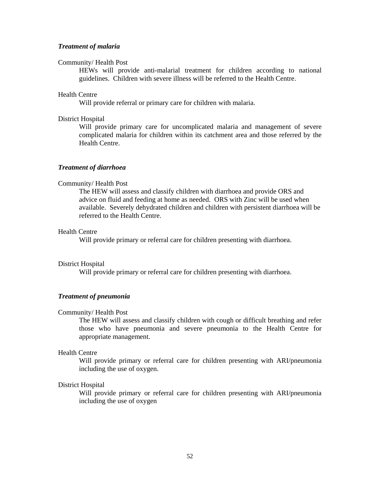#### *Treatment of malaria*

#### Community/ Health Post

HEWs will provide anti-malarial treatment for children according to national guidelines. Children with severe illness will be referred to the Health Centre.

#### Health Centre

Will provide referral or primary care for children with malaria.

#### District Hospital

Will provide primary care for uncomplicated malaria and management of severe complicated malaria for children within its catchment area and those referred by the Health Centre.

## *Treatment of diarrhoea*

#### Community/ Health Post

The HEW will assess and classify children with diarrhoea and provide ORS and advice on fluid and feeding at home as needed. ORS with Zinc will be used when available. Severely dehydrated children and children with persistent diarrhoea will be referred to the Health Centre.

#### Health Centre

Will provide primary or referral care for children presenting with diarrhoea.

#### District Hospital

Will provide primary or referral care for children presenting with diarrhoea.

#### *Treatment of pneumonia*

#### Community/ Health Post

The HEW will assess and classify children with cough or difficult breathing and refer those who have pneumonia and severe pneumonia to the Health Centre for appropriate management.

#### Health Centre

Will provide primary or referral care for children presenting with ARI/pneumonia including the use of oxygen.

#### District Hospital

Will provide primary or referral care for children presenting with ARI/pneumonia including the use of oxygen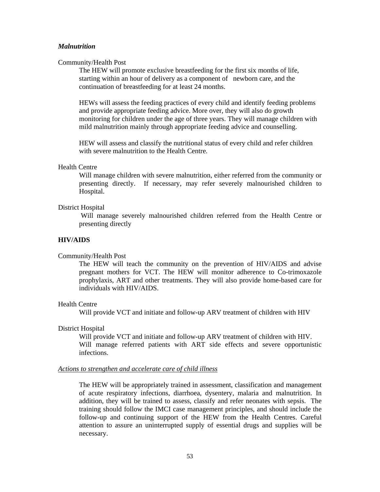#### *Malnutrition*

#### Community/Health Post

The HEW will promote exclusive breastfeeding for the first six months of life, starting within an hour of delivery as a component of newborn care, and the continuation of breastfeeding for at least 24 months.

HEWs will assess the feeding practices of every child and identify feeding problems and provide appropriate feeding advice. More over, they will also do growth monitoring for children under the age of three years. They will manage children with mild malnutrition mainly through appropriate feeding advice and counselling.

HEW will assess and classify the nutritional status of every child and refer children with severe malnutrition to the Health Centre.

## Health Centre

Will manage children with severe malnutrition, either referred from the community or presenting directly. If necessary, may refer severely malnourished children to Hospital.

#### District Hospital

Will manage severely malnourished children referred from the Health Centre or presenting directly

#### **HIV/AIDS**

#### Community/Health Post

The HEW will teach the community on the prevention of HIV/AIDS and advise pregnant mothers for VCT. The HEW will monitor adherence to Co-trimoxazole prophylaxis, ART and other treatments. They will also provide home-based care for individuals with HIV/AIDS.

#### Health Centre

Will provide VCT and initiate and follow-up ARV treatment of children with HIV

#### District Hospital

 Will provide VCT and initiate and follow-up ARV treatment of children with HIV. Will manage referred patients with ART side effects and severe opportunistic infections.

#### *Actions to strengthen and accelerate care of child illness*

The HEW will be appropriately trained in assessment, classification and management of acute respiratory infections, diarrhoea, dysentery, malaria and malnutrition. In addition, they will be trained to assess, classify and refer neonates with sepsis. The training should follow the IMCI case management principles, and should include the follow-up and continuing support of the HEW from the Health Centres. Careful attention to assure an uninterrupted supply of essential drugs and supplies will be necessary.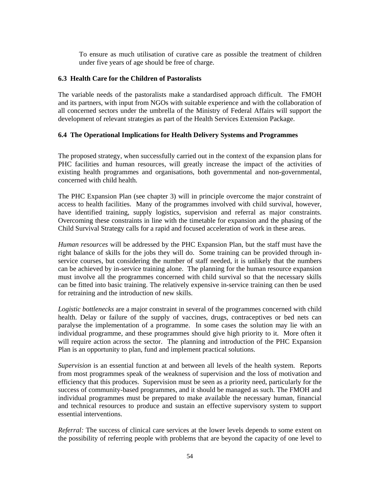To ensure as much utilisation of curative care as possible the treatment of children under five years of age should be free of charge.

## **6.3 Health Care for the Children of Pastoralists**

The variable needs of the pastoralists make a standardised approach difficult. The FMOH and its partners, with input from NGOs with suitable experience and with the collaboration of all concerned sectors under the umbrella of the Ministry of Federal Affairs will support the development of relevant strategies as part of the Health Services Extension Package.

## **6.4 The Operational Implications for Health Delivery Systems and Programmes**

The proposed strategy, when successfully carried out in the context of the expansion plans for PHC facilities and human resources, will greatly increase the impact of the activities of existing health programmes and organisations, both governmental and non-governmental, concerned with child health.

The PHC Expansion Plan (see chapter 3) will in principle overcome the major constraint of access to health facilities. Many of the programmes involved with child survival, however, have identified training, supply logistics, supervision and referral as major constraints. Overcoming these constraints in line with the timetable for expansion and the phasing of the Child Survival Strategy calls for a rapid and focused acceleration of work in these areas.

*Human resources* will be addressed by the PHC Expansion Plan, but the staff must have the right balance of skills for the jobs they will do. Some training can be provided through inservice courses, but considering the number of staff needed, it is unlikely that the numbers can be achieved by in-service training alone. The planning for the human resource expansion must involve all the programmes concerned with child survival so that the necessary skills can be fitted into basic training. The relatively expensive in-service training can then be used for retraining and the introduction of new skills.

*Logistic bottlenecks* are a major constraint in several of the programmes concerned with child health. Delay or failure of the supply of vaccines, drugs, contraceptives or bed nets can paralyse the implementation of a programme. In some cases the solution may lie with an individual programme, and these programmes should give high priority to it. More often it will require action across the sector. The planning and introduction of the PHC Expansion Plan is an opportunity to plan, fund and implement practical solutions.

*Supervision* is an essential function at and between all levels of the health system. Reports from most programmes speak of the weakness of supervision and the loss of motivation and efficiency that this produces. Supervision must be seen as a priority need, particularly for the success of community-based programmes, and it should be managed as such. The FMOH and individual programmes must be prepared to make available the necessary human, financial and technical resources to produce and sustain an effective supervisory system to support essential interventions.

*Referral:* The success of clinical care services at the lower levels depends to some extent on the possibility of referring people with problems that are beyond the capacity of one level to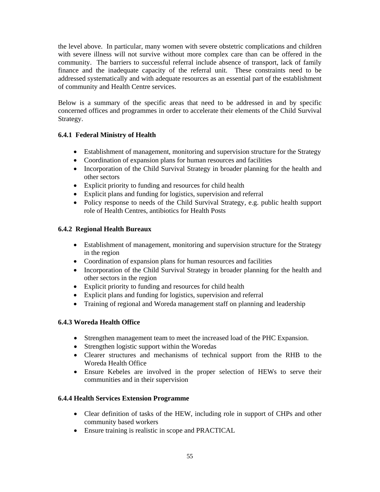the level above. In particular, many women with severe obstetric complications and children with severe illness will not survive without more complex care than can be offered in the community. The barriers to successful referral include absence of transport, lack of family finance and the inadequate capacity of the referral unit. These constraints need to be addressed systematically and with adequate resources as an essential part of the establishment of community and Health Centre services.

Below is a summary of the specific areas that need to be addressed in and by specific concerned offices and programmes in order to accelerate their elements of the Child Survival Strategy.

## **6.4.1 Federal Ministry of Health**

- Establishment of management, monitoring and supervision structure for the Strategy
- Coordination of expansion plans for human resources and facilities
- Incorporation of the Child Survival Strategy in broader planning for the health and other sectors
- Explicit priority to funding and resources for child health
- Explicit plans and funding for logistics, supervision and referral
- Policy response to needs of the Child Survival Strategy, e.g. public health support role of Health Centres, antibiotics for Health Posts

## **6.4.2 Regional Health Bureaux**

- Establishment of management, monitoring and supervision structure for the Strategy in the region
- Coordination of expansion plans for human resources and facilities
- Incorporation of the Child Survival Strategy in broader planning for the health and other sectors in the region
- Explicit priority to funding and resources for child health
- Explicit plans and funding for logistics, supervision and referral
- Training of regional and Woreda management staff on planning and leadership

## **6.4.3 Woreda Health Office**

- Strengthen management team to meet the increased load of the PHC Expansion.
- Strengthen logistic support within the Woredas
- Clearer structures and mechanisms of technical support from the RHB to the Woreda Health Office
- Ensure Kebeles are involved in the proper selection of HEWs to serve their communities and in their supervision

## **6.4.4 Health Services Extension Programme**

- Clear definition of tasks of the HEW, including role in support of CHPs and other community based workers
- Ensure training is realistic in scope and PRACTICAL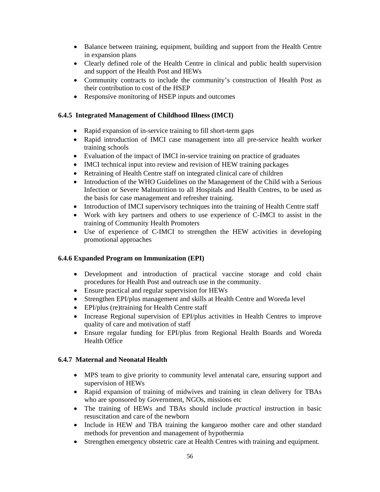- Balance between training, equipment, building and support from the Health Centre in expansion plans
- Clearly defined role of the Health Centre in clinical and public health supervision and support of the Health Post and HEWs
- Community contracts to include the community's construction of Health Post as their contribution to cost of the HSEP
- Responsive monitoring of HSEP inputs and outcomes

## **6.4.5 Integrated Management of Childhood Illness (IMCI)**

- Rapid expansion of in-service training to fill short-term gaps
- Rapid introduction of IMCI case management into all pre-service health worker training schools
- Evaluation of the impact of IMCI in-service training on practice of graduates
- IMCI technical input into review and revision of HEW training packages
- Retraining of Health Centre staff on integrated clinical care of children
- Introduction of the WHO Guidelines on the Management of the Child with a Serious Infection or Severe Malnutrition to all Hospitals and Health Centres, to be used as the basis for case management and refresher training.
- Introduction of IMCI supervisory techniques into the training of Health Centre staff
- Work with key partners and others to use experience of C-IMCI to assist in the training of Community Health Promoters
- Use of experience of C-IMCI to strengthen the HEW activities in developing promotional approaches

## **6.4.6 Expanded Program on Immunization (EPI)**

- Development and introduction of practical vaccine storage and cold chain procedures for Health Post and outreach use in the community.
- Ensure practical and regular supervision for HEWs
- Strengthen EPI/plus management and skills at Health Centre and Woreda level
- EPI/plus (re)training for Health Centre staff
- Increase Regional supervision of EPI/plus activities in Health Centres to improve quality of care and motivation of staff
- Ensure regular funding for EPI/plus from Regional Health Boards and Woreda Health Office

## **6.4.7 Maternal and Neonatal Health**

- MPS team to give priority to community level antenatal care, ensuring support and supervision of HEWs
- Rapid expansion of training of midwives and training in clean delivery for TBAs who are sponsored by Government, NGOs, missions etc
- The training of HEWs and TBAs should include *practical* instruction in basic resuscitation and care of the newborn
- Include in HEW and TBA training the kangaroo mother care and other standard methods for prevention and management of hypothermia
- Strengthen emergency obstetric care at Health Centres with training and equipment.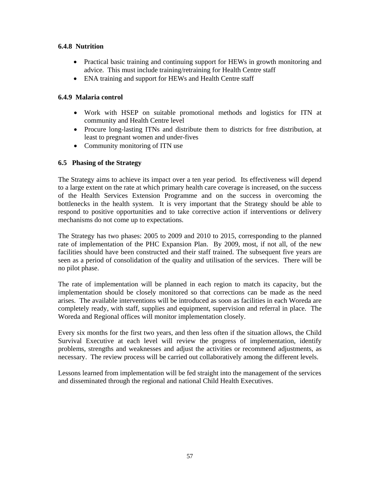## **6.4.8 Nutrition**

- Practical basic training and continuing support for HEWs in growth monitoring and advice. This must include training/retraining for Health Centre staff
- ENA training and support for HEWs and Health Centre staff

## **6.4.9 Malaria control**

- Work with HSEP on suitable promotional methods and logistics for ITN at community and Health Centre level
- Procure long-lasting ITNs and distribute them to districts for free distribution, at least to pregnant women and under-fives
- Community monitoring of ITN use

## **6.5 Phasing of the Strategy**

The Strategy aims to achieve its impact over a ten year period. Its effectiveness will depend to a large extent on the rate at which primary health care coverage is increased, on the success of the Health Services Extension Programme and on the success in overcoming the bottlenecks in the health system. It is very important that the Strategy should be able to respond to positive opportunities and to take corrective action if interventions or delivery mechanisms do not come up to expectations.

The Strategy has two phases: 2005 to 2009 and 2010 to 2015, corresponding to the planned rate of implementation of the PHC Expansion Plan. By 2009, most, if not all, of the new facilities should have been constructed and their staff trained. The subsequent five years are seen as a period of consolidation of the quality and utilisation of the services. There will be no pilot phase.

The rate of implementation will be planned in each region to match its capacity, but the implementation should be closely monitored so that corrections can be made as the need arises. The available interventions will be introduced as soon as facilities in each Woreda are completely ready, with staff, supplies and equipment, supervision and referral in place. The Woreda and Regional offices will monitor implementation closely.

Every six months for the first two years, and then less often if the situation allows, the Child Survival Executive at each level will review the progress of implementation, identify problems, strengths and weaknesses and adjust the activities or recommend adjustments, as necessary. The review process will be carried out collaboratively among the different levels.

Lessons learned from implementation will be fed straight into the management of the services and disseminated through the regional and national Child Health Executives.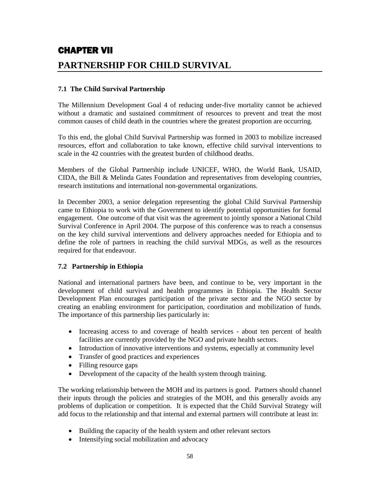# CHAPTER VII **PARTNERSHIP FOR CHILD SURVIVAL**

## **7.1 The Child Survival Partnership**

The Millennium Development Goal 4 of reducing under-five mortality cannot be achieved without a dramatic and sustained commitment of resources to prevent and treat the most common causes of child death in the countries where the greatest proportion are occurring.

To this end, the global Child Survival Partnership was formed in 2003 to mobilize increased resources, effort and collaboration to take known, effective child survival interventions to scale in the 42 countries with the greatest burden of childhood deaths.

Members of the Global Partnership include UNICEF, WHO, the World Bank, USAID, CIDA, the Bill & Melinda Gates Foundation and representatives from developing countries, research institutions and international non-governmental organizations.

In December 2003, a senior delegation representing the global Child Survival Partnership came to Ethiopia to work with the Government to identify potential opportunities for formal engagement. One outcome of that visit was the agreement to jointly sponsor a National Child Survival Conference in April 2004. The purpose of this conference was to reach a consensus on the key child survival interventions and delivery approaches needed for Ethiopia and to define the role of partners in reaching the child survival MDGs, as well as the resources required for that endeavour.

## **7.2 Partnership in Ethiopia**

National and international partners have been, and continue to be, very important in the development of child survival and health programmes in Ethiopia. The Health Sector Development Plan encourages participation of the private sector and the NGO sector by creating an enabling environment for participation, coordination and mobilization of funds. The importance of this partnership lies particularly in:

- Increasing access to and coverage of health services about ten percent of health facilities are currently provided by the NGO and private health sectors.
- Introduction of innovative interventions and systems, especially at community level
- Transfer of good practices and experiences
- Filling resource gaps
- Development of the capacity of the health system through training.

The working relationship between the MOH and its partners is good. Partners should channel their inputs through the policies and strategies of the MOH, and this generally avoids any problems of duplication or competition. It is expected that the Child Survival Strategy will add focus to the relationship and that internal and external partners will contribute at least in:

- Building the capacity of the health system and other relevant sectors
- Intensifying social mobilization and advocacy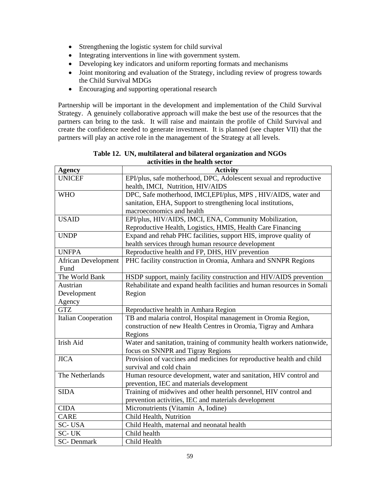- Strengthening the logistic system for child survival
- Integrating interventions in line with government system.
- Developing key indicators and uniform reporting formats and mechanisms
- Joint monitoring and evaluation of the Strategy, including review of progress towards the Child Survival MDGs
- Encouraging and supporting operational research

Partnership will be important in the development and implementation of the Child Survival Strategy. A genuinely collaborative approach will make the best use of the resources that the partners can bring to the task. It will raise and maintain the profile of Child Survival and create the confidence needed to generate investment. It is planned (see chapter VII) that the partners will play an active role in the management of the Strategy at all levels.

| activities in the nealth sector |                                                                         |  |  |  |
|---------------------------------|-------------------------------------------------------------------------|--|--|--|
| <b>Agency</b>                   | <b>Activity</b>                                                         |  |  |  |
| <b>UNICEF</b>                   | EPI/plus, safe motherhood, DPC, Adolescent sexual and reproductive      |  |  |  |
|                                 | health, IMCI, Nutrition, HIV/AIDS                                       |  |  |  |
| <b>WHO</b>                      | DPC, Safe motherhood, IMCI, EPI/plus, MPS, HIV/AIDS, water and          |  |  |  |
|                                 | sanitation, EHA, Support to strengthening local institutions,           |  |  |  |
|                                 | macroeconomics and health                                               |  |  |  |
| <b>USAID</b>                    | EPI/plus, HIV/AIDS, IMCI, ENA, Community Mobilization,                  |  |  |  |
|                                 | Reproductive Health, Logistics, HMIS, Health Care Financing             |  |  |  |
| <b>UNDP</b>                     | Expand and rehab PHC facilities, support HIS, improve quality of        |  |  |  |
|                                 | health services through human resource development                      |  |  |  |
| <b>UNFPA</b>                    | Reproductive health and FP, DHS, HIV prevention                         |  |  |  |
| <b>African Development</b>      | PHC facility construction in Oromia, Amhara and SNNPR Regions           |  |  |  |
| Fund                            |                                                                         |  |  |  |
| The World Bank                  | HSDP support, mainly facility construction and HIV/AIDS prevention      |  |  |  |
| Austrian                        | Rehabilitate and expand health facilities and human resources in Somali |  |  |  |
| Development                     | Region                                                                  |  |  |  |
| Agency                          |                                                                         |  |  |  |
| <b>GTZ</b>                      | Reproductive health in Amhara Region                                    |  |  |  |
| <b>Italian Cooperation</b>      | TB and malaria control, Hospital management in Oromia Region,           |  |  |  |
|                                 | construction of new Health Centres in Oromia, Tigray and Amhara         |  |  |  |
|                                 | Regions                                                                 |  |  |  |
| Irish Aid                       | Water and sanitation, training of community health workers nationwide,  |  |  |  |
|                                 | focus on SNNPR and Tigray Regions                                       |  |  |  |
| <b>JICA</b>                     | Provision of vaccines and medicines for reproductive health and child   |  |  |  |
|                                 | survival and cold chain                                                 |  |  |  |
| The Netherlands                 | Human resource development, water and sanitation, HIV control and       |  |  |  |
|                                 | prevention, IEC and materials development                               |  |  |  |
| <b>SIDA</b>                     | Training of midwives and other health personnel, HIV control and        |  |  |  |
|                                 | prevention activities, IEC and materials development                    |  |  |  |
| <b>CIDA</b>                     | Micronutrients (Vitamin A, Iodine)                                      |  |  |  |
| <b>CARE</b>                     | Child Health, Nutrition                                                 |  |  |  |
| SC-USA                          | Child Health, maternal and neonatal health                              |  |  |  |
| SC-UK                           | Child health                                                            |  |  |  |
| <b>SC-Denmark</b>               | Child Health                                                            |  |  |  |

**Table 12. UN, multilateral and bilateral organization and NGOs activities in the health sector**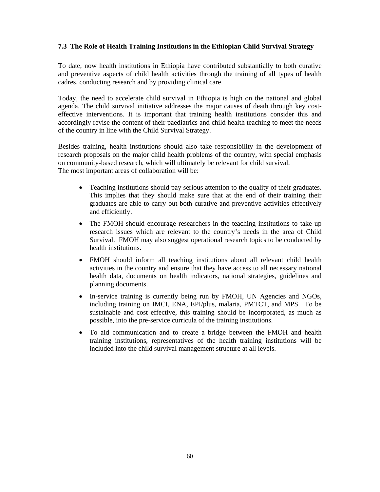## **7.3 The Role of Health Training Institutions in the Ethiopian Child Survival Strategy**

To date, now health institutions in Ethiopia have contributed substantially to both curative and preventive aspects of child health activities through the training of all types of health cadres, conducting research and by providing clinical care.

Today, the need to accelerate child survival in Ethiopia is high on the national and global agenda. The child survival initiative addresses the major causes of death through key costeffective interventions. It is important that training health institutions consider this and accordingly revise the content of their paediatrics and child health teaching to meet the needs of the country in line with the Child Survival Strategy.

Besides training, health institutions should also take responsibility in the development of research proposals on the major child health problems of the country, with special emphasis on community-based research, which will ultimately be relevant for child survival. The most important areas of collaboration will be:

- Teaching institutions should pay serious attention to the quality of their graduates. This implies that they should make sure that at the end of their training their graduates are able to carry out both curative and preventive activities effectively and efficiently.
- The FMOH should encourage researchers in the teaching institutions to take up research issues which are relevant to the country's needs in the area of Child Survival. FMOH may also suggest operational research topics to be conducted by health institutions.
- FMOH should inform all teaching institutions about all relevant child health activities in the country and ensure that they have access to all necessary national health data, documents on health indicators, national strategies, guidelines and planning documents.
- In-service training is currently being run by FMOH, UN Agencies and NGOs, including training on IMCI, ENA, EPI/plus, malaria, PMTCT, and MPS. To be sustainable and cost effective, this training should be incorporated, as much as possible, into the pre-service curricula of the training institutions.
- To aid communication and to create a bridge between the FMOH and health training institutions, representatives of the health training institutions will be included into the child survival management structure at all levels.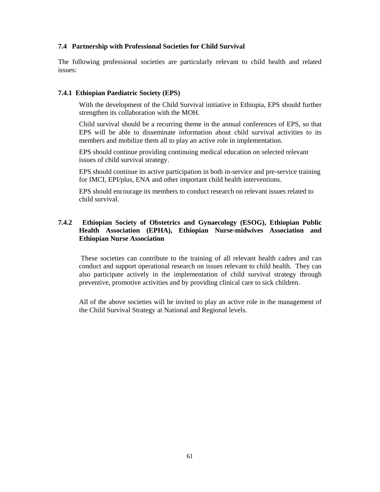## **7.4 Partnership with Professional Societies for Child Survival**

The following professional societies are particularly relevant to child health and related issues:

## **7.4.1 Ethiopian Paediatric Society (EPS)**

With the development of the Child Survival initiative in Ethiopia, EPS should further strengthen its collaboration with the MOH.

Child survival should be a recurring theme in the annual conferences of EPS, so that EPS will be able to disseminate information about child survival activities to its members and mobilize them all to play an active role in implementation.

EPS should continue providing continuing medical education on selected relevant issues of child survival strategy.

EPS should continue its active participation in both in-service and pre-service training for IMCI, EPI/plus, ENA and other important child health interventions.

EPS should encourage its members to conduct research on relevant issues related to child survival.

## **7.4.2 Ethiopian Society of Obstetrics and Gynaecology (ESOG), Ethiopian Public Health Association (EPHA), Ethiopian Nurse-midwives Association and Ethiopian Nurse Association**

 These societies can contribute to the training of all relevant health cadres and can conduct and support operational research on issues relevant to child health. They can also participate actively in the implementation of child survival strategy through preventive, promotive activities and by providing clinical care to sick children.

All of the above societies will be invited to play an active role in the management of the Child Survival Strategy at National and Regional levels.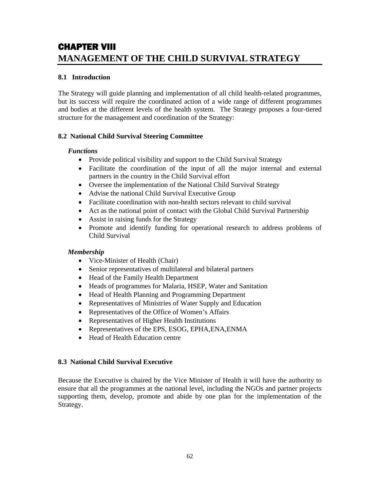# CHAPTER VIII **MANAGEMENT OF THE CHILD SURVIVAL STRATEGY**

## **8.1 Introduction**

The Strategy will guide planning and implementation of all child health-related programmes, but its success will require the coordinated action of a wide range of different programmes and bodies at the different levels of the health system. The Strategy proposes a four-tiered structure for the management and coordination of the Strategy:

## **8.2 National Child Survival Steering Committee**

## *Functions*

- Provide political visibility and support to the Child Survival Strategy
- Facilitate the coordination of the input of all the major internal and external partners in the country in the Child Survival effort
- Oversee the implementation of the National Child Survival Strategy
- Advise the national Child Survival Executive Group
- Facilitate coordination with non-health sectors relevant to child survival
- Act as the national point of contact with the Global Child Survival Partnership
- Assist in raising funds for the Strategy
- Promote and identify funding for operational research to address problems of Child Survival

## *Membership*

- Vice-Minister of Health (Chair)
- Senior representatives of multilateral and bilateral partners
- Head of the Family Health Department
- Heads of programmes for Malaria, HSEP, Water and Sanitation
- Head of Health Planning and Programming Department
- Representatives of Ministries of Water Supply and Education
- Representatives of the Office of Women's Affairs
- Representatives of Higher Health Institutions
- Representatives of the EPS, ESOG, EPHA, ENA, ENMA
- Head of Health Education centre

## **8.3 National Child Survival Executive**

Because the Executive is chaired by the Vice Minister of Health it will have the authority to ensure that all the programmes at the national level, including the NGOs and partner projects supporting them, develop, promote and abide by one plan for the implementation of the Strategy.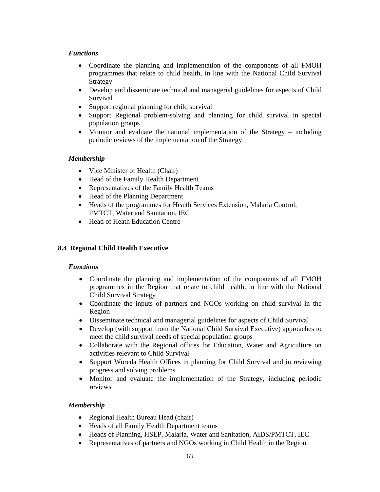## *Functions*

- Coordinate the planning and implementation of the components of all FMOH programmes that relate to child health, in line with the National Child Survival Strategy
- Develop and disseminate technical and managerial guidelines for aspects of Child Survival
- Support regional planning for child survival
- Support Regional problem-solving and planning for child survival in special population groups
- Monitor and evaluate the national implementation of the Strategy including periodic reviews of the implementation of the Strategy

## *Membership*

- Vice Minister of Health (Chair)
- Head of the Family Health Department
- Representatives of the Family Health Teams
- Head of the Planning Department
- Heads of the programmes for Health Services Extension, Malaria Control, PMTCT, Water and Sanitation, IEC
- Head of Heath Education Centre

## **8.4 Regional Child Health Executive**

## *Functions*

- Coordinate the planning and implementation of the components of all FMOH programmes in the Region that relate to child health, in line with the National Child Survival Strategy
- Coordinate the inputs of partners and NGOs working on child survival in the Region
- Disseminate technical and managerial guidelines for aspects of Child Survival
- Develop (with support from the National Child Survival Executive) approaches to meet the child survival needs of special population groups
- Collaborate with the Regional offices for Education, Water and Agriculture on activities relevant to Child Survival
- Support Woreda Health Offices in planning for Child Survival and in reviewing progress and solving problems
- Monitor and evaluate the implementation of the Strategy, including periodic reviews

## *Membership*

- Regional Health Bureau Head (chair)
- Heads of all Family Health Department teams
- Heads of Planning, HSEP, Malaria, Water and Sanitation, AIDS/PMTCT, IEC
- Representatives of partners and NGOs working in Child Health in the Region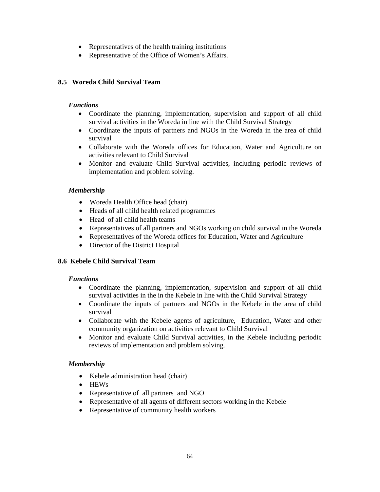- Representatives of the health training institutions
- Representative of the Office of Women's Affairs.

# **8.5 Woreda Child Survival Team**

## *Functions*

- Coordinate the planning, implementation, supervision and support of all child survival activities in the Woreda in line with the Child Survival Strategy
- Coordinate the inputs of partners and NGOs in the Woreda in the area of child survival
- Collaborate with the Woreda offices for Education, Water and Agriculture on activities relevant to Child Survival
- Monitor and evaluate Child Survival activities, including periodic reviews of implementation and problem solving.

# *Membership*

- Woreda Health Office head (chair)
- Heads of all child health related programmes
- Head of all child health teams
- Representatives of all partners and NGOs working on child survival in the Woreda
- Representatives of the Woreda offices for Education, Water and Agriculture
- Director of the District Hospital

# **8.6 Kebele Child Survival Team**

# *Functions*

- Coordinate the planning, implementation, supervision and support of all child survival activities in the in the Kebele in line with the Child Survival Strategy
- Coordinate the inputs of partners and NGOs in the Kebele in the area of child survival
- Collaborate with the Kebele agents of agriculture, Education, Water and other community organization on activities relevant to Child Survival
- Monitor and evaluate Child Survival activities, in the Kebele including periodic reviews of implementation and problem solving.

# *Membership*

- Kebele administration head (chair)
- HEWs
- Representative of all partners and NGO
- Representative of all agents of different sectors working in the Kebele
- Representative of community health workers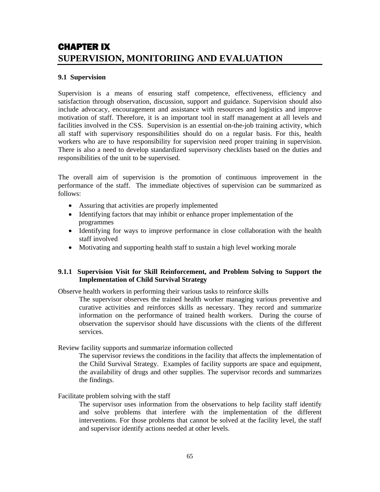# CHAPTER IX **SUPERVISION, MONITORIING AND EVALUATION**

## **9.1 Supervision**

Supervision is a means of ensuring staff competence, effectiveness, efficiency and satisfaction through observation, discussion, support and guidance. Supervision should also include advocacy, encouragement and assistance with resources and logistics and improve motivation of staff. Therefore, it is an important tool in staff management at all levels and facilities involved in the CSS. Supervision is an essential on-the-job training activity, which all staff with supervisory responsibilities should do on a regular basis. For this, health workers who are to have responsibility for supervision need proper training in supervision. There is also a need to develop standardized supervisory checklists based on the duties and responsibilities of the unit to be supervised.

The overall aim of supervision is the promotion of continuous improvement in the performance of the staff. The immediate objectives of supervision can be summarized as follows:

- Assuring that activities are properly implemented
- Identifying factors that may inhibit or enhance proper implementation of the programmes
- Identifying for ways to improve performance in close collaboration with the health staff involved
- Motivating and supporting health staff to sustain a high level working morale

### **9.1.1 Supervision Visit for Skill Reinforcement, and Problem Solving to Support the Implementation of Child Survival Strategy**

Observe health workers in performing their various tasks to reinforce skills

The supervisor observes the trained health worker managing various preventive and curative activities and reinforces skills as necessary. They record and summarize information on the performance of trained health workers. During the course of observation the supervisor should have discussions with the clients of the different services.

Review facility supports and summarize information collected

The supervisor reviews the conditions in the facility that affects the implementation of the Child Survival Strategy. Examples of facility supports are space and equipment, the availability of drugs and other supplies. The supervisor records and summarizes the findings.

### Facilitate problem solving with the staff

The supervisor uses information from the observations to help facility staff identify and solve problems that interfere with the implementation of the different interventions. For those problems that cannot be solved at the facility level, the staff and supervisor identify actions needed at other levels.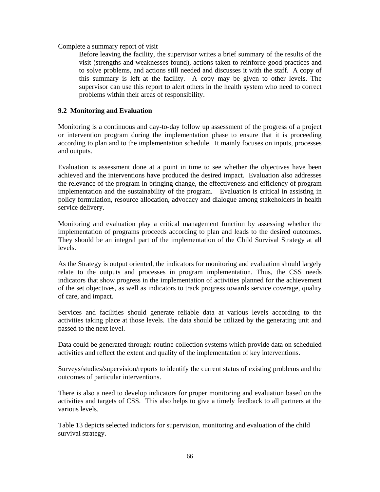Complete a summary report of visit

Before leaving the facility, the supervisor writes a brief summary of the results of the visit (strengths and weaknesses found), actions taken to reinforce good practices and to solve problems, and actions still needed and discusses it with the staff. A copy of this summary is left at the facility. A copy may be given to other levels. The supervisor can use this report to alert others in the health system who need to correct problems within their areas of responsibility.

# **9.2 Monitoring and Evaluation**

Monitoring is a continuous and day-to-day follow up assessment of the progress of a project or intervention program during the implementation phase to ensure that it is proceeding according to plan and to the implementation schedule. It mainly focuses on inputs, processes and outputs.

Evaluation is assessment done at a point in time to see whether the objectives have been achieved and the interventions have produced the desired impact. Evaluation also addresses the relevance of the program in bringing change, the effectiveness and efficiency of program implementation and the sustainability of the program. Evaluation is critical in assisting in policy formulation, resource allocation, advocacy and dialogue among stakeholders in health service delivery.

Monitoring and evaluation play a critical management function by assessing whether the implementation of programs proceeds according to plan and leads to the desired outcomes. They should be an integral part of the implementation of the Child Survival Strategy at all levels.

As the Strategy is output oriented, the indicators for monitoring and evaluation should largely relate to the outputs and processes in program implementation. Thus, the CSS needs indicators that show progress in the implementation of activities planned for the achievement of the set objectives, as well as indicators to track progress towards service coverage, quality of care, and impact.

Services and facilities should generate reliable data at various levels according to the activities taking place at those levels. The data should be utilized by the generating unit and passed to the next level.

Data could be generated through: routine collection systems which provide data on scheduled activities and reflect the extent and quality of the implementation of key interventions.

Surveys/studies/supervision/reports to identify the current status of existing problems and the outcomes of particular interventions.

There is also a need to develop indicators for proper monitoring and evaluation based on the activities and targets of CSS. This also helps to give a timely feedback to all partners at the various levels.

Table 13 depicts selected indictors for supervision, monitoring and evaluation of the child survival strategy.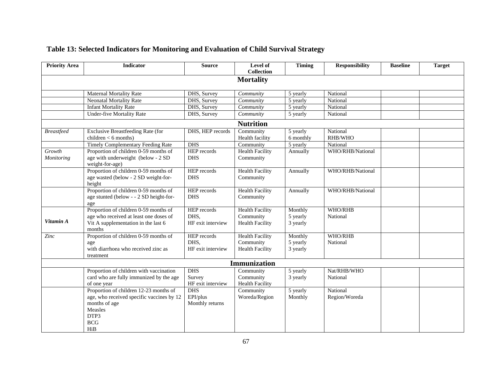| <b>Priority Area</b> | <b>Indicator</b>                          | <b>Source</b>      | Level of<br><b>Collection</b> | <b>Timing</b>         | <b>Responsibility</b> | <b>Baseline</b> | <b>Target</b> |
|----------------------|-------------------------------------------|--------------------|-------------------------------|-----------------------|-----------------------|-----------------|---------------|
|                      |                                           |                    | <b>Mortality</b>              |                       |                       |                 |               |
|                      | <b>Maternal Mortality Rate</b>            | DHS, Survey        | Community                     | 5 yearly              | National              |                 |               |
|                      | <b>Neonatal Mortality Rate</b>            | DHS, Survey        | Community                     | 5 yearly              | National              |                 |               |
|                      | <b>Infant Mortality Rate</b>              | DHS, Survey        | Community                     | 5 yearly              | National              |                 |               |
|                      | <b>Under-five Mortality Rate</b>          | DHS, Survey        | Community                     | 5 yearly              | National              |                 |               |
|                      |                                           |                    | <b>Nutrition</b>              |                       |                       |                 |               |
| <b>Breastfeed</b>    | <b>Exclusive Breastfeeding Rate (for</b>  | DHS, HEP records   | Community                     | 5 yearly              | National              |                 |               |
|                      | children $<$ 6 months)                    |                    | Health facility               | 6 monthly             | RHB/WHO               |                 |               |
|                      | Timely Complementary Feeding Rate         | <b>DHS</b>         | Community                     | 5 yearly              | National              |                 |               |
| Growth               | Proportion of children 0-59 months of     | <b>HEP</b> records | <b>Health Facility</b>        | Annually              | WHO/RHB/National      |                 |               |
| Monitoring           | age with underweight (below - 2 SD        | <b>DHS</b>         | Community                     |                       |                       |                 |               |
|                      | weight-for-age)                           |                    |                               |                       |                       |                 |               |
|                      | Proportion of children 0-59 months of     | HEP records        | <b>Health Facility</b>        | Annually              | WHO/RHB/National      |                 |               |
|                      | age wasted (below - 2 SD weight-for-      | <b>DHS</b>         | Community                     |                       |                       |                 |               |
|                      | height                                    |                    |                               |                       |                       |                 |               |
|                      | Proportion of children 0-59 months of     | HEP records        | <b>Health Facility</b>        | Annually              | WHO/RHB/National      |                 |               |
|                      | age stunted (below - - 2 SD height-for-   | <b>DHS</b>         | Community                     |                       |                       |                 |               |
|                      | age                                       |                    |                               |                       |                       |                 |               |
|                      | Proportion of children 0-59 months of     | HEP records        | <b>Health Facility</b>        | Monthly               | WHO/RHB               |                 |               |
|                      | age who received at least one doses of    | DHS.               | Community                     | 5 yearly              | National              |                 |               |
| Vitamin A            | Vit A supplementation in the last 6       | HF exit interview  | <b>Health Facility</b>        | 3 yearly              |                       |                 |               |
|                      | months                                    |                    |                               |                       |                       |                 |               |
| Zinc                 | Proportion of children 0-59 months of     | HEP records        | <b>Health Facility</b>        | Monthly               | WHO/RHB               |                 |               |
|                      | age                                       | DHS,               | Community                     | 5 yearly              | National              |                 |               |
|                      | with diarrhoea who received zinc as       | HF exit interview  | <b>Health Facility</b>        | 3 yearly              |                       |                 |               |
|                      | treatment                                 |                    |                               |                       |                       |                 |               |
|                      |                                           |                    | <b>Immunization</b>           |                       |                       |                 |               |
|                      | Proportion of children with vaccination   | <b>DHS</b>         | Community                     | $\overline{5}$ yearly | Nat/RHB/WHO           |                 |               |
|                      | card who are fully immunized by the age   | Survey             | Community                     | 3 yearly              | National              |                 |               |
|                      | of one year                               | HF exit interview  | <b>Health Facility</b>        |                       |                       |                 |               |
|                      | Proportion of children 12-23 months of    | <b>DHS</b>         | Community                     | 5 yearly              | National              |                 |               |
|                      | age, who received specific vaccines by 12 | EPI/plus           | Woreda/Region                 | Monthly               | Region/Woreda         |                 |               |
|                      | months of age                             | Monthly returns    |                               |                       |                       |                 |               |
|                      | Measles                                   |                    |                               |                       |                       |                 |               |
|                      | DTP3                                      |                    |                               |                       |                       |                 |               |
|                      | <b>BCG</b>                                |                    |                               |                       |                       |                 |               |

### **Table 13: Selected Indicators for Monitoring and Evaluation of Child Survival Strategy**

HiB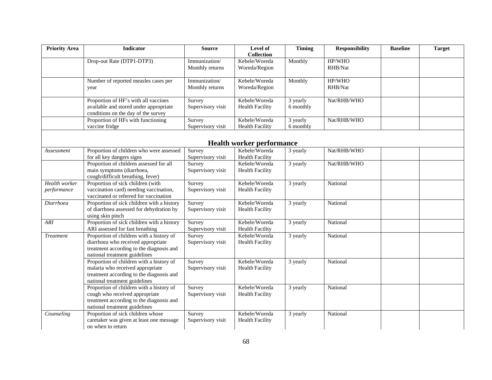| <b>Priority Area</b>             | <b>Indicator</b>                                                                                                                                            | <b>Source</b>                    | Level of<br><b>Collection</b>           | <b>Timing</b>         | <b>Responsibility</b> | <b>Baseline</b> | <b>Target</b> |  |  |
|----------------------------------|-------------------------------------------------------------------------------------------------------------------------------------------------------------|----------------------------------|-----------------------------------------|-----------------------|-----------------------|-----------------|---------------|--|--|
|                                  | Drop-out Rate (DTP1-DTP3)                                                                                                                                   | Immunization/<br>Monthly returns | Kebele/Woreda<br>Woreda/Region          | Monthly               | HP/WHO<br>RHB/Nat     |                 |               |  |  |
|                                  | Number of reported measles cases per<br>year                                                                                                                | Immunization/<br>Monthly returns | Kebele/Woreda<br>Woreda/Region          | Monthly               | HP/WHO<br>RHB/Nat     |                 |               |  |  |
|                                  | Proportion of HF's with all vaccines<br>available and stored under appropriate<br>conditions on the day of the survey                                       | Survey<br>Supervisory visit      | Kebele/Woreda<br><b>Health Facility</b> | 3 yearly<br>6 monthly | Nat/RHB/WHO           |                 |               |  |  |
|                                  | Proportion of HFs with functioning<br>vaccine fridge                                                                                                        | Survey<br>Supervisory visit      | Kebele/Woreda<br><b>Health Facility</b> | 3 yearly<br>6 monthly | Nat/RHB/WHO           |                 |               |  |  |
| <b>Health worker performance</b> |                                                                                                                                                             |                                  |                                         |                       |                       |                 |               |  |  |
| Assessment                       | Proportion of children who were assessed                                                                                                                    | Survey                           | Kebele/Woreda                           | 3 yearly              | Nat/RHB/WHO           |                 |               |  |  |
|                                  | for all key dangers signs                                                                                                                                   | Supervisory visit                | <b>Health Facility</b>                  |                       |                       |                 |               |  |  |
|                                  | Proportion of children assessed for all                                                                                                                     | Survey                           | Kebele/Woreda                           | 3 yearly              | Nat/RHB/WHO           |                 |               |  |  |
|                                  | main symptoms (diarrhoea,<br>cough/difficult breathing, fever)                                                                                              | Supervisory visit                | <b>Health Facility</b>                  |                       |                       |                 |               |  |  |
| Health worker<br>performance     | Proportion of sick children (with<br>vaccination card) needing vaccination,<br>vaccinated or referred for vaccination                                       | Survey<br>Supervisory visit      | Kebele/Woreda<br><b>Health Facility</b> | 3 yearly              | National              |                 |               |  |  |
| Diarrhoea                        | Proportion of sick children with a history<br>of diarrhoea assessed for dehydration by<br>using skin pinch                                                  | Survey<br>Supervisory visit      | Kebele/Woreda<br><b>Health Facility</b> | 3 yearly              | National              |                 |               |  |  |
| ARI                              | Proportion of sick children with a history<br>ARI assessed for fast breathing                                                                               | Survey<br>Supervisory visit      | Kebele/Woreda<br><b>Health Facility</b> | 3 yearly              | National              |                 |               |  |  |
| <b>Treatment</b>                 | Proportion of children with a history of<br>diarrhoea who received appropriate<br>treatment according to the diagnosis and<br>national treatment guidelines | Survey<br>Supervisory visit      | Kebele/Woreda<br><b>Health Facility</b> | 3 yearly              | National              |                 |               |  |  |
|                                  | Proportion of children with a history of<br>malaria who received appropriate<br>treatment according to the diagnosis and<br>national treatment guidelines   | Survey<br>Supervisory visit      | Kebele/Woreda<br><b>Health Facility</b> | 3 yearly              | National              |                 |               |  |  |
|                                  | Proportion of children with a history of<br>cough who received appropriate<br>treatment according to the diagnosis and<br>national treatment guidelines     | Survey<br>Supervisory visit      | Kebele/Woreda<br><b>Health Facility</b> | 3 yearly              | National              |                 |               |  |  |
| Counseling                       | Proportion of sick children whose<br>caretaker was given at least one message<br>on when to return                                                          | Survey<br>Supervisory visit      | Kebele/Woreda<br><b>Health Facility</b> | 3 yearly              | National              |                 |               |  |  |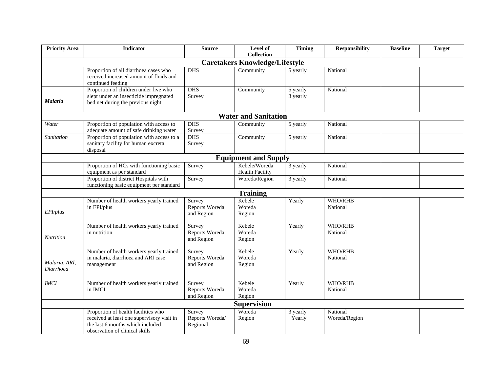| <b>Priority Area</b>                  | <b>Indicator</b>                                                                                                                                        | <b>Source</b>                          | Level of<br><b>Collection</b>           | <b>Timing</b>        | <b>Responsibility</b>     | <b>Baseline</b> | <b>Target</b> |  |  |
|---------------------------------------|---------------------------------------------------------------------------------------------------------------------------------------------------------|----------------------------------------|-----------------------------------------|----------------------|---------------------------|-----------------|---------------|--|--|
| <b>Caretakers Knowledge/Lifestyle</b> |                                                                                                                                                         |                                        |                                         |                      |                           |                 |               |  |  |
|                                       | Proportion of all diarrhoea cases who<br>received increased amount of fluids and<br>continued feeding                                                   | <b>DHS</b>                             | Community                               | 5 yearly             | National                  |                 |               |  |  |
| Malaria                               | Proportion of children under five who<br>slept under an insecticide impregnated<br>bed net during the previous night                                    | <b>DHS</b><br>Survey                   | Community                               | 5 yearly<br>3 yearly | National                  |                 |               |  |  |
| <b>Water and Sanitation</b>           |                                                                                                                                                         |                                        |                                         |                      |                           |                 |               |  |  |
| Water                                 | Proportion of population with access to<br>adequate amount of safe drinking water                                                                       | <b>DHS</b><br>Survey                   | Community                               | 5 yearly             | National                  |                 |               |  |  |
| Sanitation                            | Proportion of population with access to a<br>sanitary facility for human excreta<br>disposal                                                            | <b>DHS</b><br>Survey                   | Community                               | 5 yearly             | National                  |                 |               |  |  |
| <b>Equipment and Supply</b>           |                                                                                                                                                         |                                        |                                         |                      |                           |                 |               |  |  |
|                                       | Proportion of HCs with functioning basic<br>equipment as per standard                                                                                   | Survey                                 | Kebele/Woreda<br><b>Health Facility</b> | 3 yearly             | National                  |                 |               |  |  |
|                                       | Proportion of district Hospitals with<br>functioning basic equipment per standard                                                                       | Survey                                 | Woreda/Region                           | 3 yearly             | National                  |                 |               |  |  |
|                                       |                                                                                                                                                         |                                        | <b>Training</b>                         |                      |                           |                 |               |  |  |
| EPI/plus                              | Number of health workers yearly trained<br>in EPI/plus                                                                                                  | Survey<br>Reports Woreda<br>and Region | Kebele<br>Woreda<br>Region              | Yearly               | WHO/RHB<br>National       |                 |               |  |  |
| Nutrition                             | Number of health workers yearly trained<br>in nutrition                                                                                                 | Survey<br>Reports Woreda<br>and Region | Kebele<br>Woreda<br>Region              | Yearly               | WHO/RHB<br>National       |                 |               |  |  |
| Malaria, ARI,<br>Diarrhoea            | Number of health workers yearly trained<br>in malaria, diarrhoea and ARI case<br>management                                                             | Survey<br>Reports Woreda<br>and Region | Kebele<br>Woreda<br>Region              | Yearly               | WHO/RHB<br>National       |                 |               |  |  |
| <b>IMCI</b>                           | Number of health workers yearly trained<br>in IMCI                                                                                                      | Survey<br>Reports Woreda<br>and Region | Kebele<br>Woreda<br>Region              | Yearly               | WHO/RHB<br>National       |                 |               |  |  |
| <b>Supervision</b>                    |                                                                                                                                                         |                                        |                                         |                      |                           |                 |               |  |  |
|                                       | Proportion of health facilities who<br>received at least one supervisory visit in<br>the last 6 months which included<br>observation of clinical skills | Survey<br>Reports Woreda/<br>Regional  | Woreda<br>Region                        | 3 yearly<br>Yearly   | National<br>Woreda/Region |                 |               |  |  |